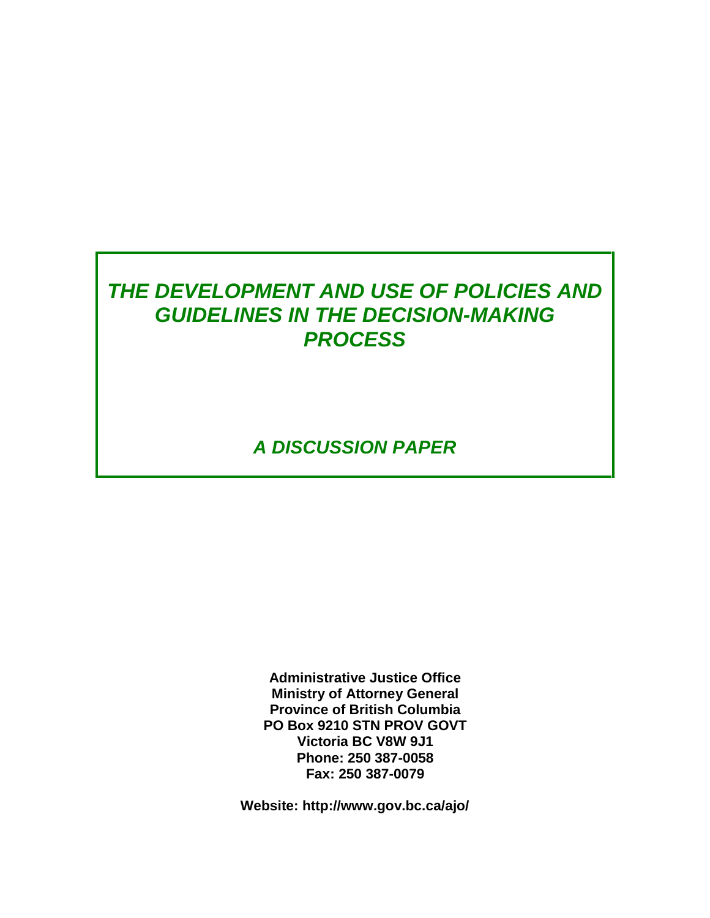# *THE DEVELOPMENT AND USE OF POLICIES AND GUIDELINES IN THE DECISION-MAKING PROCESS*

*A DISCUSSION PAPER*

**Administrative Justice Office Ministry of Attorney General Province of British Columbia PO Box 9210 STN PROV GOVT Victoria BC V8W 9J1 Phone: 250 387-0058 Fax: 250 387-0079** 

**Website: http://www.gov.bc.ca/ajo/**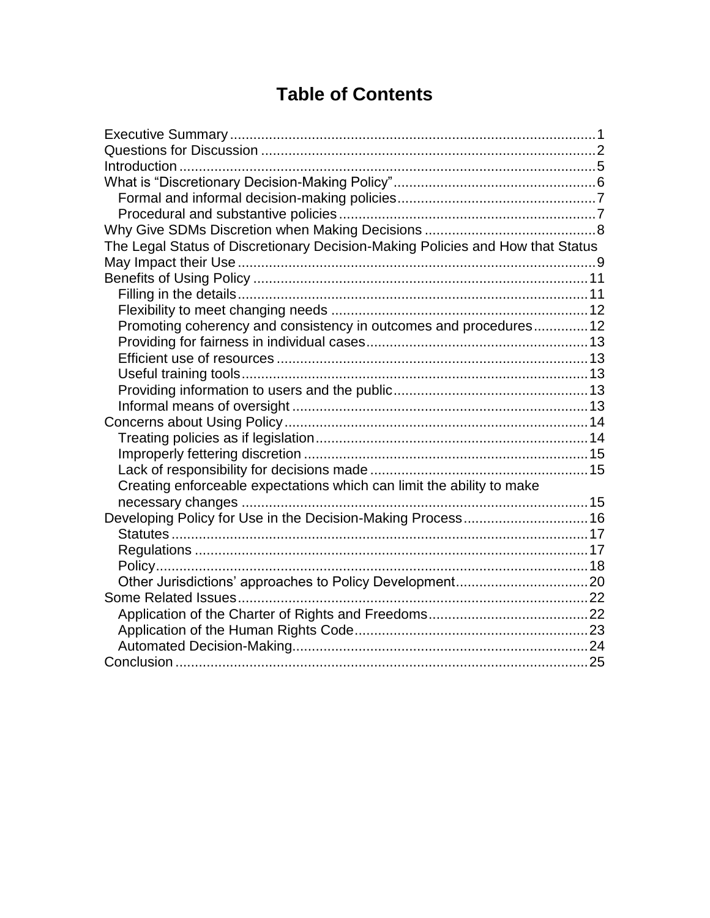# **Table of Contents**

| The Legal Status of Discretionary Decision-Making Policies and How that Status |  |
|--------------------------------------------------------------------------------|--|
|                                                                                |  |
|                                                                                |  |
|                                                                                |  |
|                                                                                |  |
| Promoting coherency and consistency in outcomes and procedures 12              |  |
|                                                                                |  |
|                                                                                |  |
|                                                                                |  |
|                                                                                |  |
|                                                                                |  |
|                                                                                |  |
|                                                                                |  |
|                                                                                |  |
|                                                                                |  |
| Creating enforceable expectations which can limit the ability to make          |  |
|                                                                                |  |
| Developing Policy for Use in the Decision-Making Process 16                    |  |
|                                                                                |  |
|                                                                                |  |
|                                                                                |  |
|                                                                                |  |
|                                                                                |  |
|                                                                                |  |
|                                                                                |  |
|                                                                                |  |
|                                                                                |  |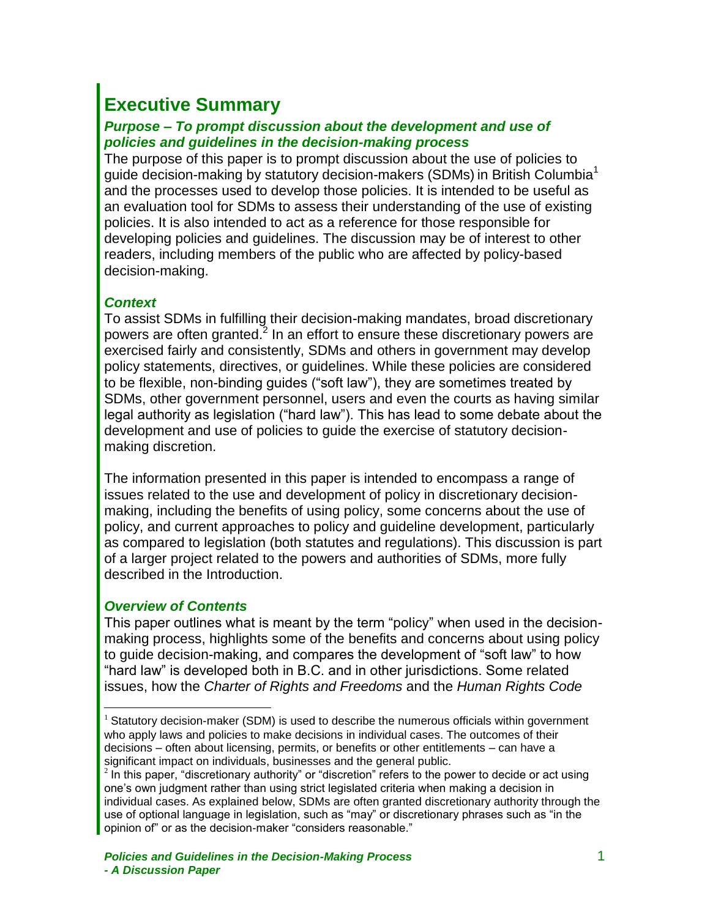# <span id="page-2-0"></span>**Executive Summary**

#### *Purpose* **–** *To prompt discussion about the development and use of policies and guidelines in the decision-making process*

The purpose of this paper is to prompt discussion about the use of policies to quide decision-making by statutory decision-makers (SDMs) in British Columbia<sup>1</sup> and the processes used to develop those policies. It is intended to be useful as an evaluation tool for SDMs to assess their understanding of the use of existing policies. It is also intended to act as a reference for those responsible for developing policies and guidelines. The discussion may be of interest to other readers, including members of the public who are affected by policy-based decision-making.

#### *Context*

To assist SDMs in fulfilling their decision-making mandates, broad discretionary powers are often granted.<sup>2</sup> In an effort to ensure these discretionary powers are exercised fairly and consistently, SDMs and others in government may develop policy statements, directives, or guidelines. While these policies are considered to be flexible, non-binding guides ("soft law"), they are sometimes treated by SDMs, other government personnel, users and even the courts as having similar legal authority as legislation ("hard law"). This has lead to some debate about the development and use of policies to guide the exercise of statutory decisionmaking discretion.

The information presented in this paper is intended to encompass a range of issues related to the use and development of policy in discretionary decisionmaking, including the benefits of using policy, some concerns about the use of policy, and current approaches to policy and guideline development, particularly as compared to legislation (both statutes and regulations). This discussion is part of a larger project related to the powers and authorities of SDMs, more fully described in the Introduction.

#### *Overview of Contents*

 $\overline{a}$ 

This paper outlines what is meant by the term "policy" when used in the decisionmaking process, highlights some of the benefits and concerns about using policy to guide decision-making, and compares the development of "soft law" to how "hard law" is developed both in B.C. and in other jurisdictions. Some related issues, how the *Charter of Rights and Freedoms* and the *Human Rights Code*

 $1$  Statutory decision-maker (SDM) is used to describe the numerous officials within government who apply laws and policies to make decisions in individual cases. The outcomes of their decisions – often about licensing, permits, or benefits or other entitlements – can have a significant impact on individuals, businesses and the general public.

 $2$  In this paper, "discretionary authority" or "discretion" refers to the power to decide or act using one's own judgment rather than using strict legislated criteria when making a decision in individual cases. As explained below, SDMs are often granted discretionary authority through the use of optional language in legislation, such as "may" or discretionary phrases such as "in the opinion of" or as the decision-maker "considers reasonable."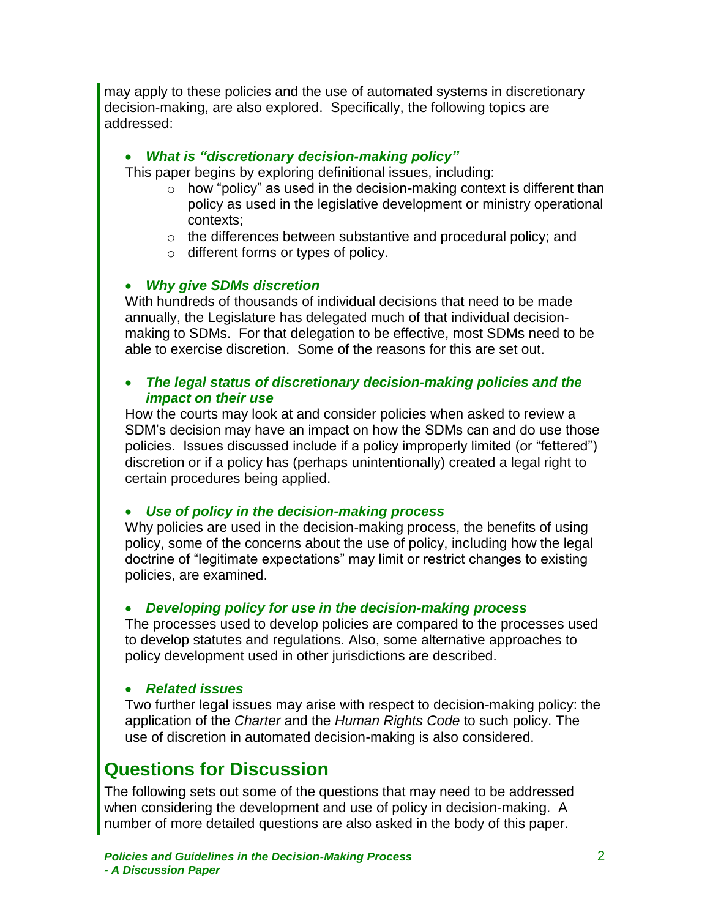may apply to these policies and the use of automated systems in discretionary decision-making, are also explored. Specifically, the following topics are addressed:

#### *What is "discretionary decision-making policy"*

This paper begins by exploring definitional issues, including:

- $\circ$  how "policy" as used in the decision-making context is different than policy as used in the legislative development or ministry operational contexts;
- o the differences between substantive and procedural policy; and
- o different forms or types of policy.

#### *Why give SDMs discretion*

With hundreds of thousands of individual decisions that need to be made annually, the Legislature has delegated much of that individual decisionmaking to SDMs. For that delegation to be effective, most SDMs need to be able to exercise discretion. Some of the reasons for this are set out.

#### *The legal status of discretionary decision-making policies and the impact on their use*

How the courts may look at and consider policies when asked to review a SDM's decision may have an impact on how the SDMs can and do use those policies. Issues discussed include if a policy improperly limited (or "fettered") discretion or if a policy has (perhaps unintentionally) created a legal right to certain procedures being applied.

#### *Use of policy in the decision-making process*

Why policies are used in the decision-making process, the benefits of using policy, some of the concerns about the use of policy, including how the legal doctrine of "legitimate expectations" may limit or restrict changes to existing policies, are examined.

#### *Developing policy for use in the decision-making process*

The processes used to develop policies are compared to the processes used to develop statutes and regulations. Also, some alternative approaches to policy development used in other jurisdictions are described.

#### *Related issues*

Two further legal issues may arise with respect to decision-making policy: the application of the *Charter* and the *Human Rights Code* to such policy. The use of discretion in automated decision-making is also considered.

### <span id="page-3-0"></span>**Questions for Discussion**

The following sets out some of the questions that may need to be addressed when considering the development and use of policy in decision-making. A number of more detailed questions are also asked in the body of this paper.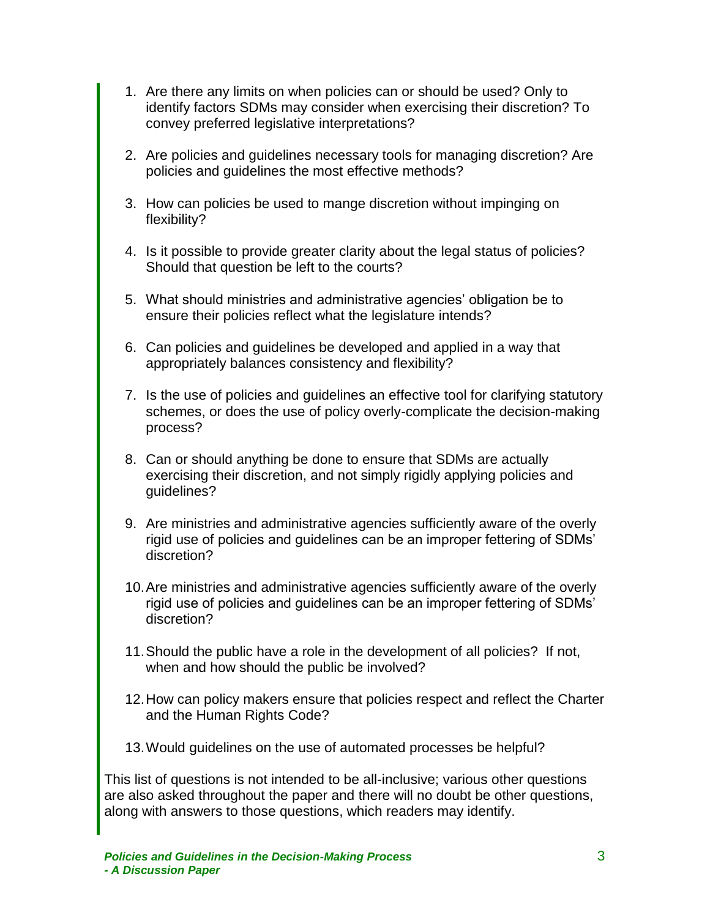- 1. Are there any limits on when policies can or should be used? Only to identify factors SDMs may consider when exercising their discretion? To convey preferred legislative interpretations?
- 2. Are policies and guidelines necessary tools for managing discretion? Are policies and guidelines the most effective methods?
- 3. How can policies be used to mange discretion without impinging on flexibility?
- 4. Is it possible to provide greater clarity about the legal status of policies? Should that question be left to the courts?
- 5. What should ministries and administrative agencies' obligation be to ensure their policies reflect what the legislature intends?
- 6. Can policies and guidelines be developed and applied in a way that appropriately balances consistency and flexibility?
- 7. Is the use of policies and guidelines an effective tool for clarifying statutory schemes, or does the use of policy overly-complicate the decision-making process?
- 8. Can or should anything be done to ensure that SDMs are actually exercising their discretion, and not simply rigidly applying policies and guidelines?
- 9. Are ministries and administrative agencies sufficiently aware of the overly rigid use of policies and guidelines can be an improper fettering of SDMs' discretion?
- 10.Are ministries and administrative agencies sufficiently aware of the overly rigid use of policies and guidelines can be an improper fettering of SDMs' discretion?
- 11.Should the public have a role in the development of all policies? If not, when and how should the public be involved?
- 12.How can policy makers ensure that policies respect and reflect the Charter and the Human Rights Code?
- 13.Would guidelines on the use of automated processes be helpful?

This list of questions is not intended to be all-inclusive; various other questions are also asked throughout the paper and there will no doubt be other questions, along with answers to those questions, which readers may identify.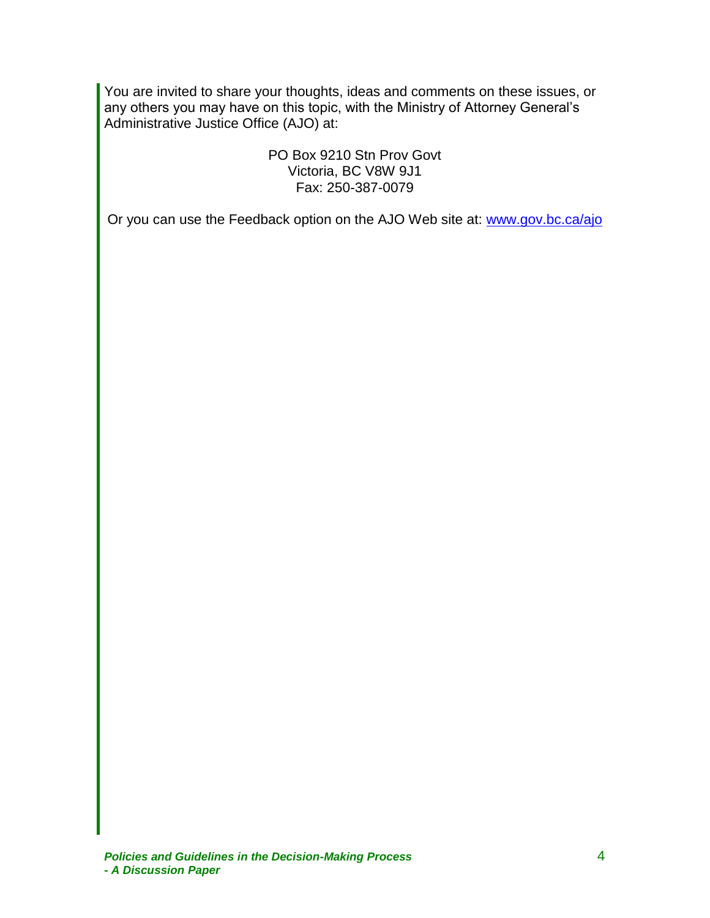You are invited to share your thoughts, ideas and comments on these issues, or any others you may have on this topic, with the Ministry of Attorney General's Administrative Justice Office (AJO) at:

> PO Box 9210 Stn Prov Govt Victoria, BC V8W 9J1 Fax: 250-387-0079

Or you can use the Feedback option on the AJO Web site at: [www.gov.bc.ca/ajo](http://www.gov.bc.ca/ajo)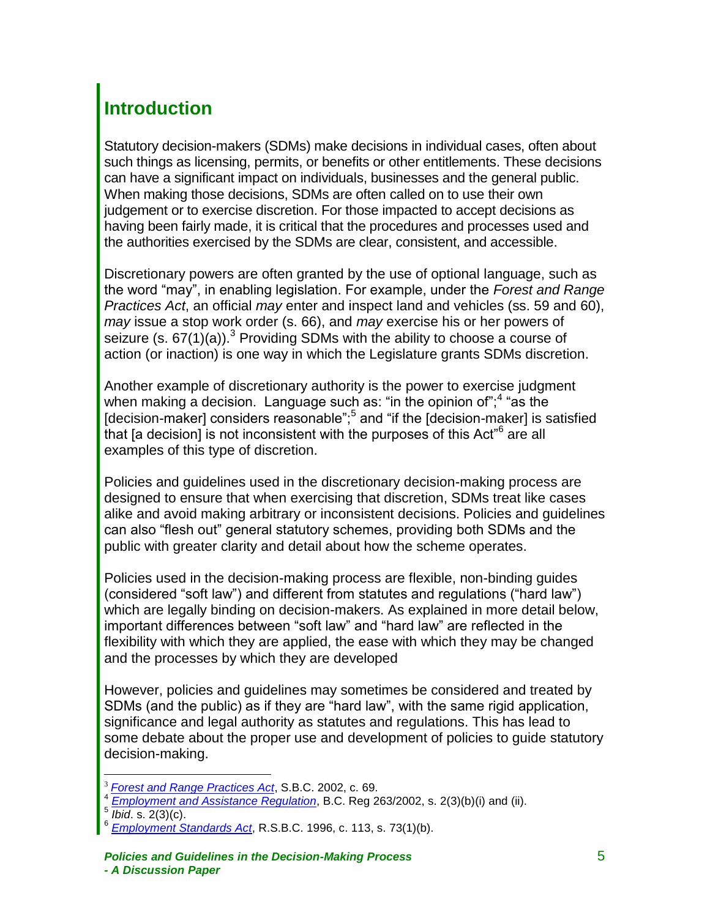# <span id="page-6-0"></span>**Introduction**

Statutory decision-makers (SDMs) make decisions in individual cases, often about such things as licensing, permits, or benefits or other entitlements. These decisions can have a significant impact on individuals, businesses and the general public. When making those decisions, SDMs are often called on to use their own judgement or to exercise discretion. For those impacted to accept decisions as having been fairly made, it is critical that the procedures and processes used and the authorities exercised by the SDMs are clear, consistent, and accessible.

Discretionary powers are often granted by the use of optional language, such as the word "may", in enabling legislation. For example, under the *Forest and Range Practices Act*, an official *may* enter and inspect land and vehicles (ss. 59 and 60), *may* issue a stop work order (s. 66), and *may* exercise his or her powers of seizure (s.  $67(1)(a)$ ).<sup>3</sup> Providing SDMs with the ability to choose a course of action (or inaction) is one way in which the Legislature grants SDMs discretion.

Another example of discretionary authority is the power to exercise judgment when making a decision. Language such as: "in the opinion of";<sup>4</sup> "as the [decision-maker] considers reasonable";<sup>5</sup> and "if the [decision-maker] is satisfied that [a decision] is not inconsistent with the purposes of this Act<sup>"6</sup> are all examples of this type of discretion.

Policies and guidelines used in the discretionary decision-making process are designed to ensure that when exercising that discretion, SDMs treat like cases alike and avoid making arbitrary or inconsistent decisions. Policies and guidelines can also "flesh out" general statutory schemes, providing both SDMs and the public with greater clarity and detail about how the scheme operates.

Policies used in the decision-making process are flexible, non-binding guides (considered "soft law") and different from statutes and regulations ("hard law") which are legally binding on decision-makers. As explained in more detail below, important differences between "soft law" and "hard law" are reflected in the flexibility with which they are applied, the ease with which they may be changed and the processes by which they are developed

However, policies and guidelines may sometimes be considered and treated by SDMs (and the public) as if they are "hard law", with the same rigid application, significance and legal authority as statutes and regulations. This has lead to some debate about the proper use and development of policies to guide statutory decision-making.

 $\overline{a}$ <sup>3</sup> *[Forest and Range Practices Act](http://www.bclaws.ca/Recon/document/freeside/--%20f%20--/forest%20and%20range%20practices%20act%20%20sbc%202002%20%20c.%2069/00_02069_01.xml#FOUND-NOTHING)*, S.B.C. 2002, c. 69.

<sup>4</sup> *[Employment and Assistance Regulation](http://www.bclaws.ca/Recon/document/freeside/--%20e%20--/employment%20and%20assistance%20act%20%20sbc%202002%20%20c.%2040/05_regulations/10_263_2002%20employment%20and%20assistance%20regulation/263_2002.xml#FOUND-NOTHING)*, B.C. Reg 263/2002, s. 2(3)(b)(i) and (ii).

<sup>5</sup> *Ibid*. s. 2(3)(c).

<sup>6</sup> *[Employment Standards Act](http://wwwhttp/www.bclaws.ca/Recon/document/freeside/--%20e%20--/employment%20standards%20act%20%20rsbc%201996%20%20c.%20113/00_96113_01.xml#FOUND-NOTHING)*, R.S.B.C. 1996, c. 113, s. 73(1)(b).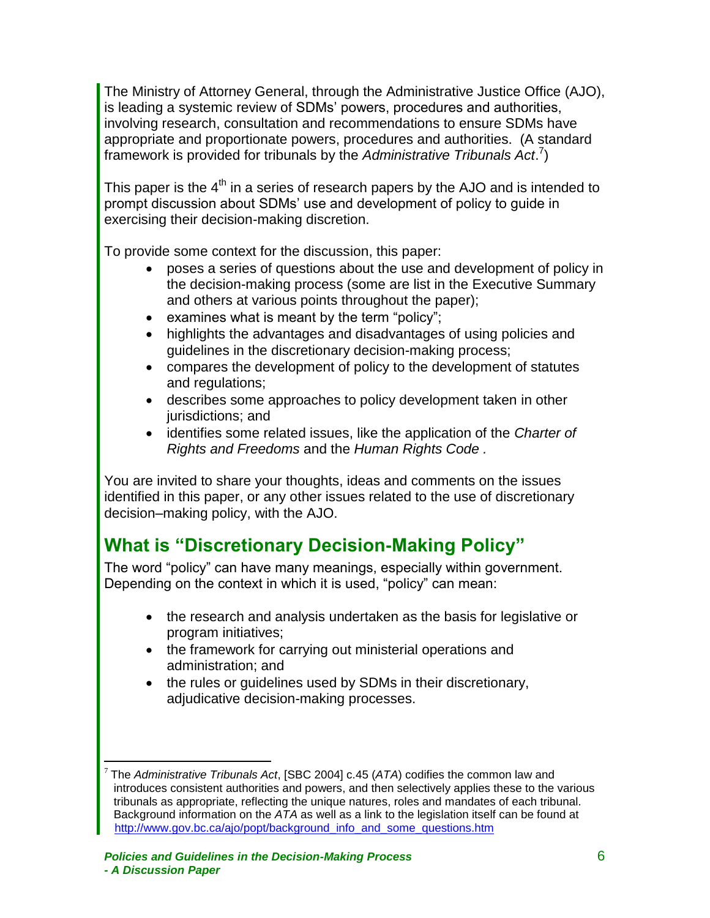The Ministry of Attorney General, through the Administrative Justice Office (AJO), is leading a systemic review of SDMs' powers, procedures and authorities, involving research, consultation and recommendations to ensure SDMs have appropriate and proportionate powers, procedures and authorities. (A standard framework is provided for tribunals by the *Administrative Tribunals Act*. 7 )

This paper is the  $4<sup>th</sup>$  in a series of research papers by the AJO and is intended to prompt discussion about SDMs' use and development of policy to guide in exercising their decision-making discretion.

To provide some context for the discussion, this paper:

- poses a series of questions about the use and development of policy in the decision-making process (some are list in the Executive Summary and others at various points throughout the paper);
- $\bullet$  examines what is meant by the term "policy";
- highlights the advantages and disadvantages of using policies and guidelines in the discretionary decision-making process;
- compares the development of policy to the development of statutes and regulations;
- describes some approaches to policy development taken in other jurisdictions; and
- identifies some related issues, like the application of the *Charter of Rights and Freedoms* and the *Human Rights Code .*

You are invited to share your thoughts, ideas and comments on the issues identified in this paper, or any other issues related to the use of discretionary decision–making policy, with the AJO.

# <span id="page-7-0"></span>**What is "Discretionary Decision-Making Policy"**

The word "policy" can have many meanings, especially within government. Depending on the context in which it is used, "policy" can mean:

- the research and analysis undertaken as the basis for legislative or program initiatives;
- the framework for carrying out ministerial operations and administration; and
- the rules or guidelines used by SDMs in their discretionary, adjudicative decision-making processes.

<sup>7</sup> The *Administrative Tribunals Act*, [SBC 2004] c.45 (*ATA*) codifies the common law and introduces consistent authorities and powers, and then selectively applies these to the various tribunals as appropriate, reflecting the unique natures, roles and mandates of each tribunal. Background information on the *ATA* as well as a link to the legislation itself can be found at [http://www.gov.bc.ca/ajo/popt/background\\_info\\_and\\_some\\_questions.htm](http://www.gov.bc.ca/ajo/popt/background_info_and_some_questions.htm)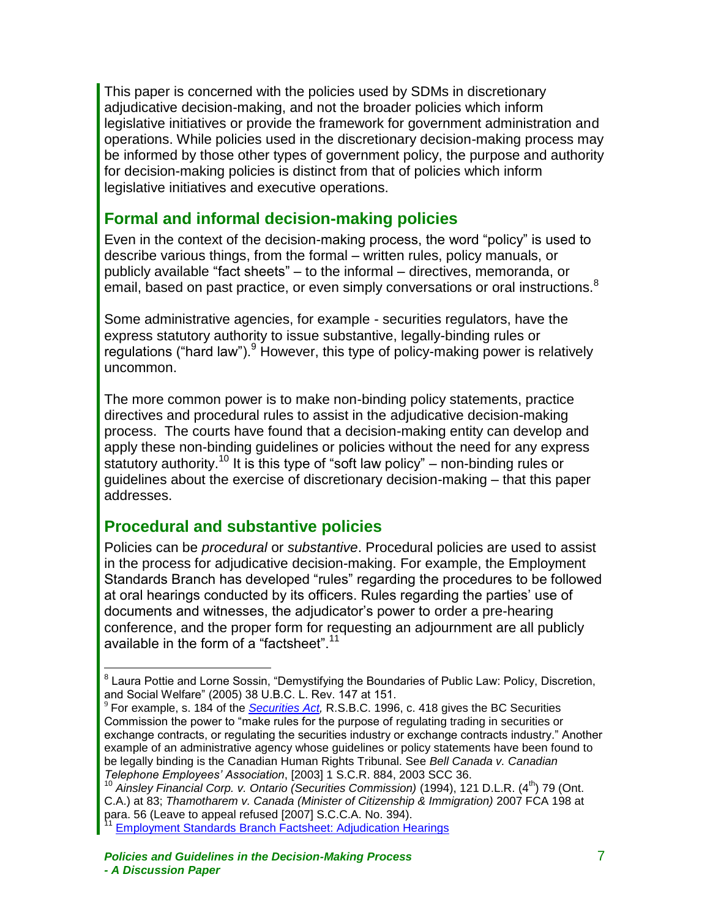This paper is concerned with the policies used by SDMs in discretionary adjudicative decision-making, and not the broader policies which inform legislative initiatives or provide the framework for government administration and operations. While policies used in the discretionary decision-making process may be informed by those other types of government policy, the purpose and authority for decision-making policies is distinct from that of policies which inform legislative initiatives and executive operations.

### <span id="page-8-0"></span>**Formal and informal decision-making policies**

Even in the context of the decision-making process, the word "policy" is used to describe various things, from the formal – written rules, policy manuals, or publicly available "fact sheets" – to the informal – directives, memoranda, or email, based on past practice, or even simply conversations or oral instructions.<sup>8</sup>

Some administrative agencies, for example - securities regulators, have the express statutory authority to issue substantive, legally-binding rules or regulations ("hard law").<sup>9</sup> However, this type of policy-making power is relatively uncommon.

The more common power is to make non-binding policy statements, practice directives and procedural rules to assist in the adjudicative decision-making process. The courts have found that a decision-making entity can develop and apply these non-binding guidelines or policies without the need for any express statutory authority.<sup>10</sup> It is this type of "soft law policy" – non-binding rules or guidelines about the exercise of discretionary decision-making – that this paper addresses.

### <span id="page-8-1"></span>**Procedural and substantive policies**

 $\overline{a}$ 

Policies can be *procedural* or *substantive*. Procedural policies are used to assist in the process for adjudicative decision-making. For example, the Employment Standards Branch has developed "rules" regarding the procedures to be followed at oral hearings conducted by its officers. Rules regarding the parties' use of documents and witnesses, the adjudicator's power to order a pre-hearing conference, and the proper form for requesting an adjournment are all publicly available in the form of a "factsheet".<sup>11</sup>

<sup>&</sup>lt;sup>8</sup> Laura Pottie and Lorne Sossin, "Demystifying the Boundaries of Public Law: Policy, Discretion, and Social Welfare" (2005) 38 U.B.C. L. Rev. 147 at 151.

<sup>9</sup> For example, s. 184 of the *[Securities Act,](http://wwwhttp/www.bclaws.ca/Recon/document/freeside/--%20s%20--/securities%20act%20%20rsbc%201996%20%20c.%20418/00_96418_01.xml#FOUND-NOTHING)* R.S.B.C. 1996, c. 418 gives the BC Securities Commission the power to "make rules for the purpose of regulating trading in securities or exchange contracts, or regulating the securities industry or exchange contracts industry." Another example of an administrative agency whose guidelines or policy statements have been found to be legally binding is the Canadian Human Rights Tribunal. See *Bell Canada v. Canadian Telephone Employees' Association*, [2003] 1 S.C.R. 884, 2003 SCC 36.

<sup>&</sup>lt;sup>10</sup> Ainsley Financial Corp. v. Ontario (Securities Commission) (1994), 121 D.L.R. (4<sup>th</sup>) 79 (Ont. C.A.) at 83; *Thamotharem v. Canada (Minister of Citizenship & Immigration)* 2007 FCA 198 at para. 56 (Leave to appeal refused [2007] S.C.C.A. No. 394).

**[Employment Standards Branch Factsheet: Adjudication Hearings](http://www.labour.gov.bc.ca/esb/facshts/pdfs/Hearings.pdf)**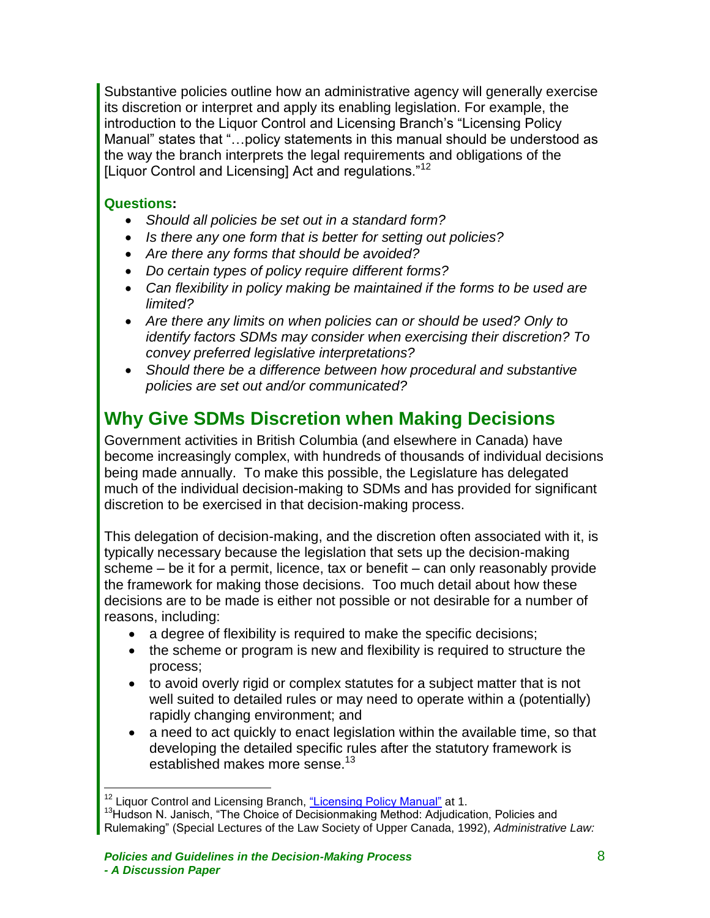Substantive policies outline how an administrative agency will generally exercise its discretion or interpret and apply its enabling legislation. For example, the introduction to the Liquor Control and Licensing Branch's "Licensing Policy Manual" states that "…policy statements in this manual should be understood as the way the branch interprets the legal requirements and obligations of the [Liquor Control and Licensing] Act and regulations."<sup>12</sup>

#### **Questions:**

 $\overline{a}$ 

- *Should all policies be set out in a standard form?*
- *Is there any one form that is better for setting out policies?*
- *Are there any forms that should be avoided?*
- *Do certain types of policy require different forms?*
- *Can flexibility in policy making be maintained if the forms to be used are limited?*
- *Are there any limits on when policies can or should be used? Only to identify factors SDMs may consider when exercising their discretion? To convey preferred legislative interpretations?*
- *Should there be a difference between how procedural and substantive policies are set out and/or communicated?*

## <span id="page-9-0"></span>**Why Give SDMs Discretion when Making Decisions**

Government activities in British Columbia (and elsewhere in Canada) have become increasingly complex, with hundreds of thousands of individual decisions being made annually. To make this possible, the Legislature has delegated much of the individual decision-making to SDMs and has provided for significant discretion to be exercised in that decision-making process.

This delegation of decision-making, and the discretion often associated with it, is typically necessary because the legislation that sets up the decision-making scheme – be it for a permit, licence, tax or benefit – can only reasonably provide the framework for making those decisions. Too much detail about how these decisions are to be made is either not possible or not desirable for a number of reasons, including:

- a degree of flexibility is required to make the specific decisions;
- the scheme or program is new and flexibility is required to structure the process;
- to avoid overly rigid or complex statutes for a subject matter that is not well suited to detailed rules or may need to operate within a (potentially) rapidly changing environment; and
- a need to act quickly to enact legislation within the available time, so that developing the detailed specific rules after the statutory framework is established makes more sense.<sup>13</sup>

<sup>&</sup>lt;sup>12</sup> Liquor Control and Licensing Branch, ["Licensing Policy Manual"](http://www.eia.gov.bc.ca/lclb/publications/policy/manual/LCLB207.pdf) at 1.

<sup>&</sup>lt;sup>13</sup>Hudson N. Janisch, "The Choice of Decisionmaking Method: Adjudication, Policies and Rulemaking" (Special Lectures of the Law Society of Upper Canada, 1992), *Administrative Law:*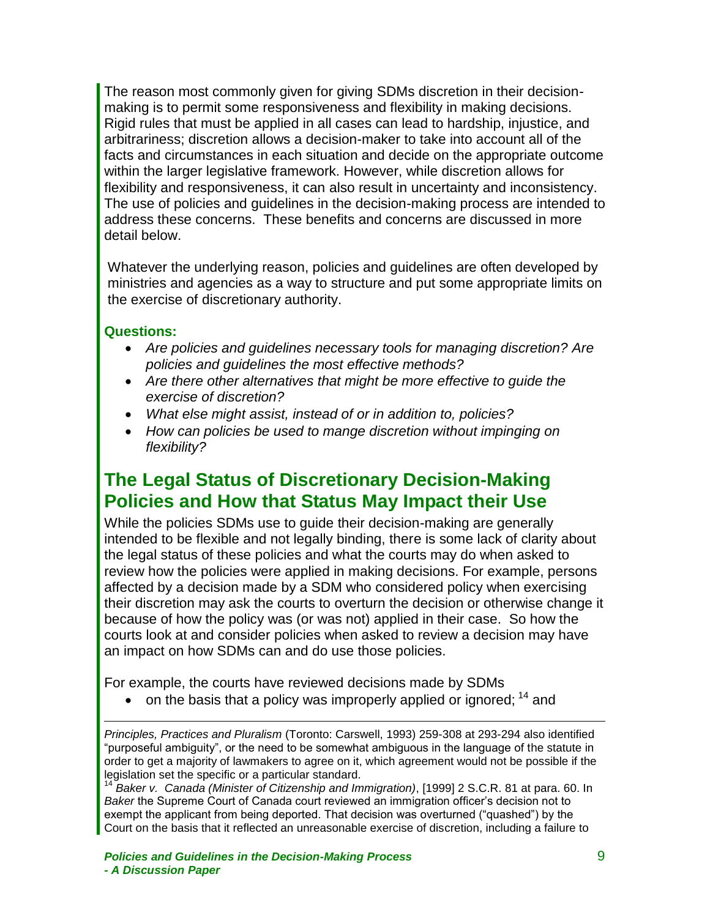The reason most commonly given for giving SDMs discretion in their decisionmaking is to permit some responsiveness and flexibility in making decisions. Rigid rules that must be applied in all cases can lead to hardship, injustice, and arbitrariness; discretion allows a decision-maker to take into account all of the facts and circumstances in each situation and decide on the appropriate outcome within the larger legislative framework. However, while discretion allows for flexibility and responsiveness, it can also result in uncertainty and inconsistency. The use of policies and guidelines in the decision-making process are intended to address these concerns. These benefits and concerns are discussed in more detail below.

Whatever the underlying reason, policies and guidelines are often developed by ministries and agencies as a way to structure and put some appropriate limits on the exercise of discretionary authority.

#### **Questions:**

 $\overline{a}$ 

- *Are policies and guidelines necessary tools for managing discretion? Are policies and guidelines the most effective methods?*
- *Are there other alternatives that might be more effective to guide the exercise of discretion?*
- *What else might assist, instead of or in addition to, policies?*
- *How can policies be used to mange discretion without impinging on flexibility?*

## <span id="page-10-0"></span>**The Legal Status of Discretionary Decision-Making Policies and How that Status May Impact their Use**

While the policies SDMs use to guide their decision-making are generally intended to be flexible and not legally binding, there is some lack of clarity about the legal status of these policies and what the courts may do when asked to review how the policies were applied in making decisions. For example, persons affected by a decision made by a SDM who considered policy when exercising their discretion may ask the courts to overturn the decision or otherwise change it because of how the policy was (or was not) applied in their case. So how the courts look at and consider policies when asked to review a decision may have an impact on how SDMs can and do use those policies.

For example, the courts have reviewed decisions made by SDMs

 $\bullet$  on the basis that a policy was improperly applied or ignored:  $^{14}$  and

*Principles, Practices and Pluralism* (Toronto: Carswell, 1993) 259-308 at 293-294 also identified "purposeful ambiguity", or the need to be somewhat ambiguous in the language of the statute in order to get a majority of lawmakers to agree on it, which agreement would not be possible if the legislation set the specific or a particular standard.

<sup>14</sup> *Baker v. Canada (Minister of Citizenship and Immigration)*, [1999] 2 S.C.R. 81 at para. 60. In *Baker* the Supreme Court of Canada court reviewed an immigration officer's decision not to exempt the applicant from being deported. That decision was overturned ("quashed") by the Court on the basis that it reflected an unreasonable exercise of discretion, including a failure to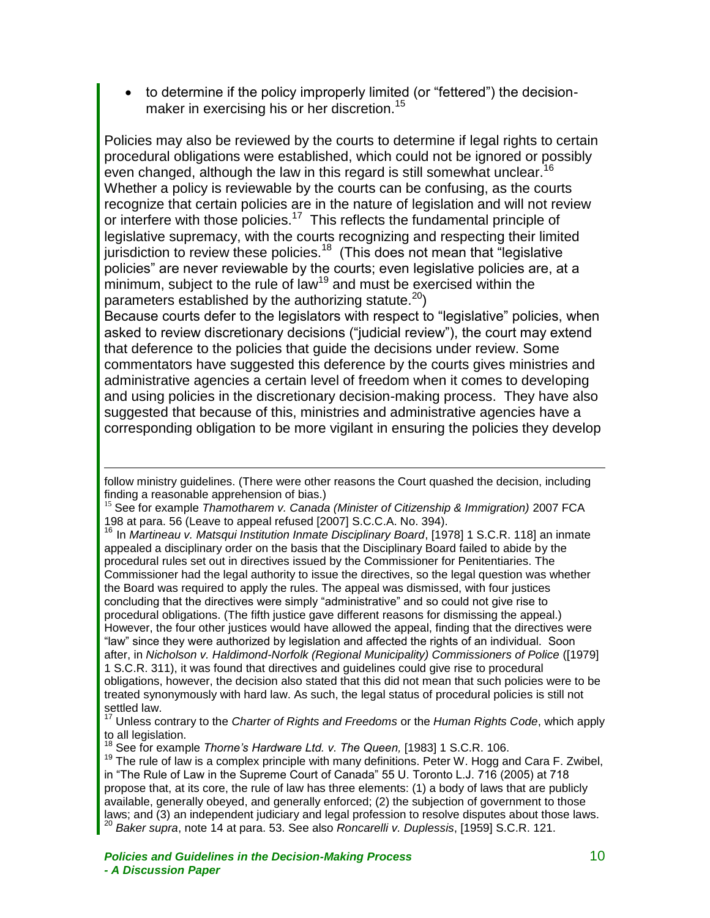to determine if the policy improperly limited (or "fettered") the decisionmaker in exercising his or her discretion.<sup>15</sup>

Policies may also be reviewed by the courts to determine if legal rights to certain procedural obligations were established, which could not be ignored or possibly even changed, although the law in this regard is still somewhat unclear.<sup>16</sup> Whether a policy is reviewable by the courts can be confusing, as the courts recognize that certain policies are in the nature of legislation and will not review or interfere with those policies.<sup>17</sup> This reflects the fundamental principle of legislative supremacy, with the courts recognizing and respecting their limited jurisdiction to review these policies.<sup>18</sup> (This does not mean that "legislative policies" are never reviewable by the courts; even legislative policies are, at a minimum, subject to the rule of law<sup>19</sup> and must be exercised within the parameters established by the authorizing statute. $20$ )

Because courts defer to the legislators with respect to "legislative" policies, when asked to review discretionary decisions ("judicial review"), the court may extend that deference to the policies that guide the decisions under review. Some commentators have suggested this deference by the courts gives ministries and administrative agencies a certain level of freedom when it comes to developing and using policies in the discretionary decision-making process. They have also suggested that because of this, ministries and administrative agencies have a corresponding obligation to be more vigilant in ensuring the policies they develop

<sup>16</sup> In *Martineau v. Matsqui Institution Inmate Disciplinary Board*, [1978] 1 S.C.R. 118] an inmate appealed a disciplinary order on the basis that the Disciplinary Board failed to abide by the procedural rules set out in directives issued by the Commissioner for Penitentiaries. The Commissioner had the legal authority to issue the directives, so the legal question was whether the Board was required to apply the rules. The appeal was dismissed, with four justices concluding that the directives were simply "administrative" and so could not give rise to procedural obligations. (The fifth justice gave different reasons for dismissing the appeal.) However, the four other justices would have allowed the appeal, finding that the directives were "law" since they were authorized by legislation and affected the rights of an individual. Soon after, in *Nicholson v. Haldimond-Norfolk (Regional Municipality) Commissioners of Police* ([1979] 1 S.C.R. 311), it was found that directives and guidelines could give rise to procedural obligations, however, the decision also stated that this did not mean that such policies were to be treated synonymously with hard law. As such, the legal status of procedural policies is still not settled law.

<sup>17</sup> Unless contrary to the *Charter of Rights and Freedoms* or the *Human Rights Code*, which apply to all legislation.

follow ministry guidelines. (There were other reasons the Court quashed the decision, including finding a reasonable apprehension of bias.)

<sup>15</sup> See for example *Thamotharem v. Canada (Minister of Citizenship & Immigration)* 2007 FCA 198 at para. 56 (Leave to appeal refused [2007] S.C.C.A. No. 394).

See for example *Thorne's Hardware Ltd. v. The Queen*, [1983] 1 S.C.R. 106.

 $19$  The rule of law is a complex principle with many definitions. Peter W. Hogg and Cara F. Zwibel, in "The Rule of Law in the Supreme Court of Canada" 55 U. Toronto L.J. 716 (2005) at 718 propose that, at its core, the rule of law has three elements: (1) a body of laws that are publicly available, generally obeyed, and generally enforced; (2) the subjection of government to those laws; and (3) an independent judiciary and legal profession to resolve disputes about those laws. <sup>20</sup> *Baker supra*, note 14 at para. 53. See also *Roncarelli v. Duplessis*, [1959] S.C.R. 121.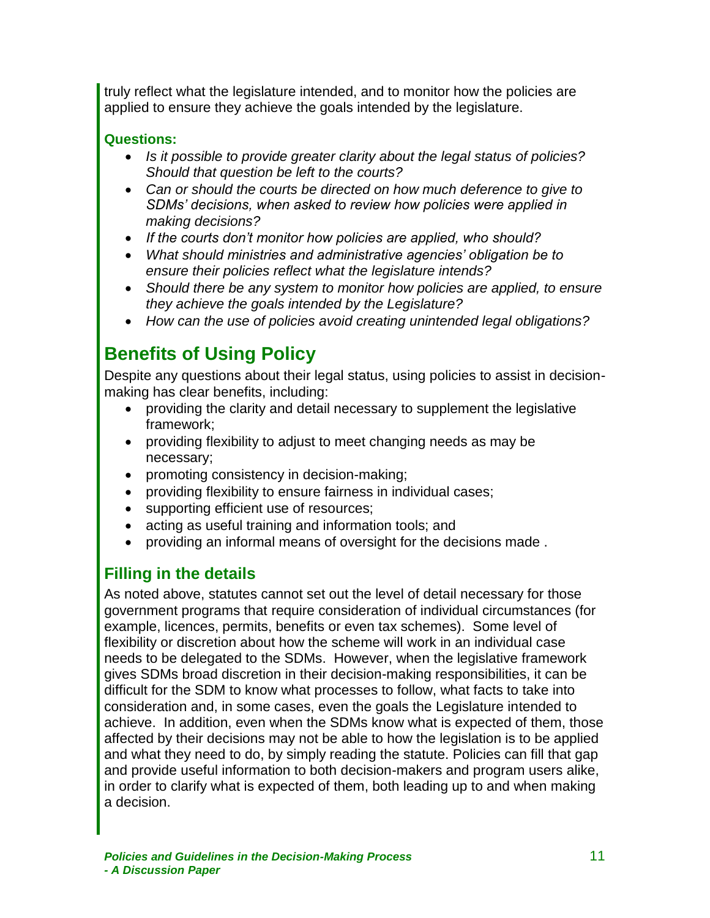truly reflect what the legislature intended, and to monitor how the policies are applied to ensure they achieve the goals intended by the legislature.

#### **Questions:**

- *Is it possible to provide greater clarity about the legal status of policies? Should that question be left to the courts?*
- *Can or should the courts be directed on how much deference to give to SDMs' decisions, when asked to review how policies were applied in making decisions?*
- *If the courts don't monitor how policies are applied, who should?*
- *What should ministries and administrative agencies' obligation be to ensure their policies reflect what the legislature intends?*
- *Should there be any system to monitor how policies are applied, to ensure they achieve the goals intended by the Legislature?*
- *How can the use of policies avoid creating unintended legal obligations?*

# <span id="page-12-0"></span>**Benefits of Using Policy**

Despite any questions about their legal status, using policies to assist in decisionmaking has clear benefits, including:

- providing the clarity and detail necessary to supplement the legislative framework;
- providing flexibility to adjust to meet changing needs as may be necessary;
- promoting consistency in decision-making;
- providing flexibility to ensure fairness in individual cases;
- supporting efficient use of resources;
- acting as useful training and information tools; and
- providing an informal means of oversight for the decisions made .

### <span id="page-12-1"></span>**Filling in the details**

As noted above, statutes cannot set out the level of detail necessary for those government programs that require consideration of individual circumstances (for example, licences, permits, benefits or even tax schemes). Some level of flexibility or discretion about how the scheme will work in an individual case needs to be delegated to the SDMs. However, when the legislative framework gives SDMs broad discretion in their decision-making responsibilities, it can be difficult for the SDM to know what processes to follow, what facts to take into consideration and, in some cases, even the goals the Legislature intended to achieve. In addition, even when the SDMs know what is expected of them, those affected by their decisions may not be able to how the legislation is to be applied and what they need to do, by simply reading the statute. Policies can fill that gap and provide useful information to both decision-makers and program users alike, in order to clarify what is expected of them, both leading up to and when making a decision.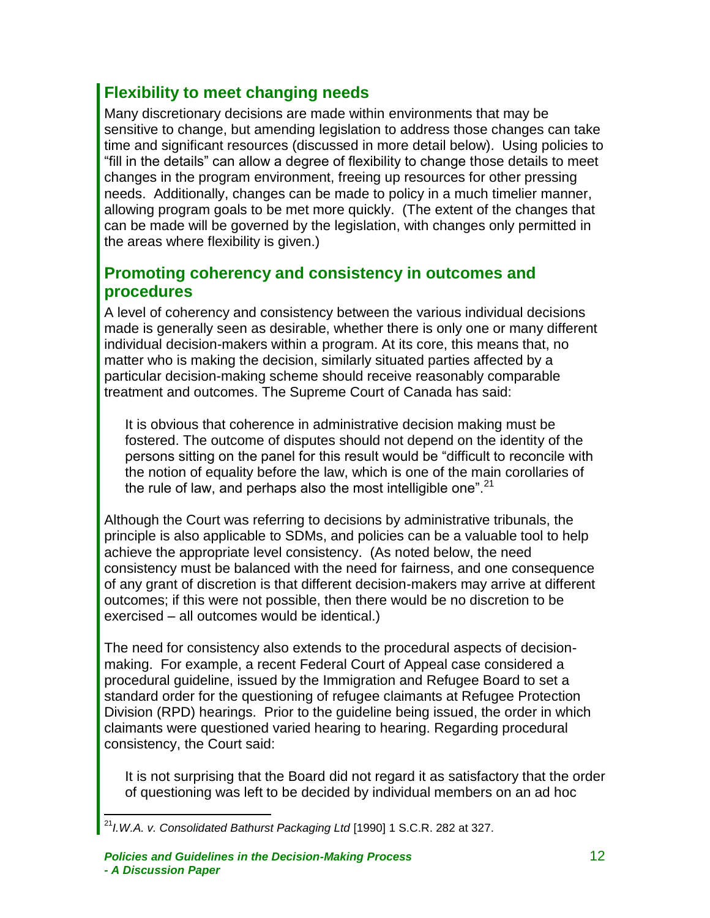### **Flexibility to meet changing needs**

<span id="page-13-0"></span>Many discretionary decisions are made within environments that may be sensitive to change, but amending legislation to address those changes can take time and significant resources (discussed in more detail below). Using policies to "fill in the details" can allow a degree of flexibility to change those details to meet changes in the program environment, freeing up resources for other pressing needs. Additionally, changes can be made to policy in a much timelier manner, allowing program goals to be met more quickly. (The extent of the changes that can be made will be governed by the legislation, with changes only permitted in the areas where flexibility is given.)

### <span id="page-13-1"></span>**Promoting coherency and consistency in outcomes and procedures**

A level of coherency and consistency between the various individual decisions made is generally seen as desirable, whether there is only one or many different individual decision-makers within a program. At its core, this means that, no matter who is making the decision, similarly situated parties affected by a particular decision-making scheme should receive reasonably comparable treatment and outcomes. The Supreme Court of Canada has said:

It is obvious that coherence in administrative decision making must be fostered. The outcome of disputes should not depend on the identity of the persons sitting on the panel for this result would be "difficult to reconcile with the notion of equality before the law, which is one of the main corollaries of the rule of law, and perhaps also the most intelligible one".  $21$ 

Although the Court was referring to decisions by administrative tribunals, the principle is also applicable to SDMs, and policies can be a valuable tool to help achieve the appropriate level consistency. (As noted below, the need consistency must be balanced with the need for fairness, and one consequence of any grant of discretion is that different decision-makers may arrive at different outcomes; if this were not possible, then there would be no discretion to be exercised – all outcomes would be identical.)

The need for consistency also extends to the procedural aspects of decisionmaking. For example, a recent Federal Court of Appeal case considered a procedural guideline, issued by the Immigration and Refugee Board to set a standard order for the questioning of refugee claimants at Refugee Protection Division (RPD) hearings. Prior to the guideline being issued, the order in which claimants were questioned varied hearing to hearing. Regarding procedural consistency, the Court said:

It is not surprising that the Board did not regard it as satisfactory that the order of questioning was left to be decided by individual members on an ad hoc

 $\overline{a}$ <sup>21</sup>*I.W.A. v. Consolidated Bathurst Packaging Ltd* [1990] 1 S.C.R. 282 at 327.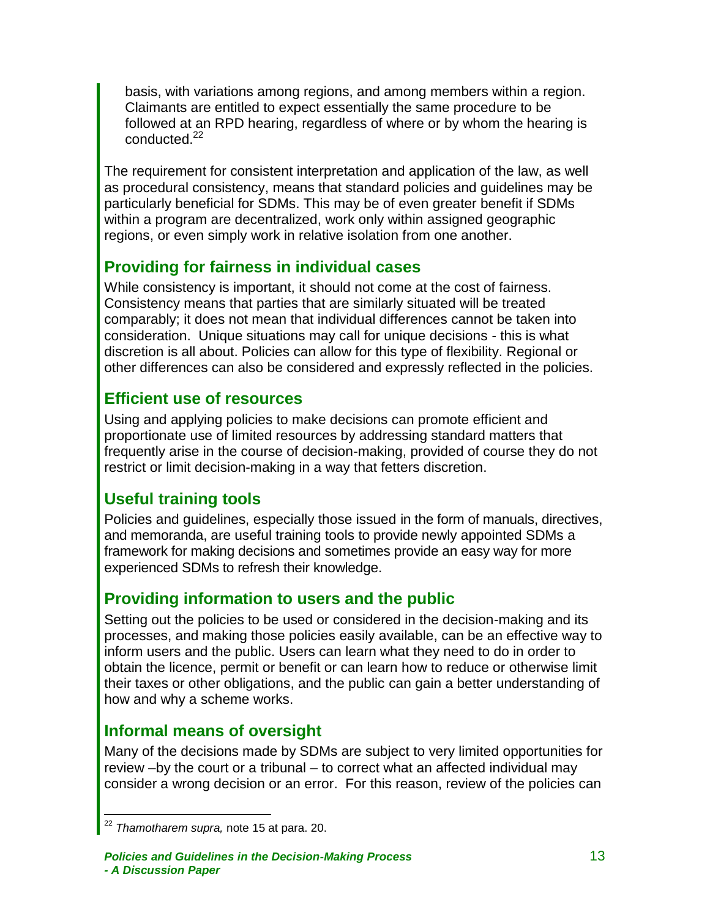basis, with variations among regions, and among members within a region. Claimants are entitled to expect essentially the same procedure to be followed at an RPD hearing, regardless of where or by whom the hearing is conducted.<sup>22</sup>

The requirement for consistent interpretation and application of the law, as well as procedural consistency, means that standard policies and guidelines may be particularly beneficial for SDMs. This may be of even greater benefit if SDMs within a program are decentralized, work only within assigned geographic regions, or even simply work in relative isolation from one another.

### <span id="page-14-0"></span>**Providing for fairness in individual cases**

While consistency is important, it should not come at the cost of fairness. Consistency means that parties that are similarly situated will be treated comparably; it does not mean that individual differences cannot be taken into consideration. Unique situations may call for unique decisions - this is what discretion is all about. Policies can allow for this type of flexibility. Regional or other differences can also be considered and expressly reflected in the policies.

### <span id="page-14-1"></span>**Efficient use of resources**

Using and applying policies to make decisions can promote efficient and proportionate use of limited resources by addressing standard matters that frequently arise in the course of decision-making, provided of course they do not restrict or limit decision-making in a way that fetters discretion.

### <span id="page-14-2"></span>**Useful training tools**

Policies and guidelines, especially those issued in the form of manuals, directives, and memoranda, are useful training tools to provide newly appointed SDMs a framework for making decisions and sometimes provide an easy way for more experienced SDMs to refresh their knowledge.

### <span id="page-14-3"></span>**Providing information to users and the public**

Setting out the policies to be used or considered in the decision-making and its processes, and making those policies easily available, can be an effective way to inform users and the public. Users can learn what they need to do in order to obtain the licence, permit or benefit or can learn how to reduce or otherwise limit their taxes or other obligations, and the public can gain a better understanding of how and why a scheme works.

### <span id="page-14-4"></span>**Informal means of oversight**

Many of the decisions made by SDMs are subject to very limited opportunities for review –by the court or a tribunal – to correct what an affected individual may consider a wrong decision or an error. For this reason, review of the policies can

 $\overline{a}$ <sup>22</sup> *Thamotharem supra,* note 15 at para. 20.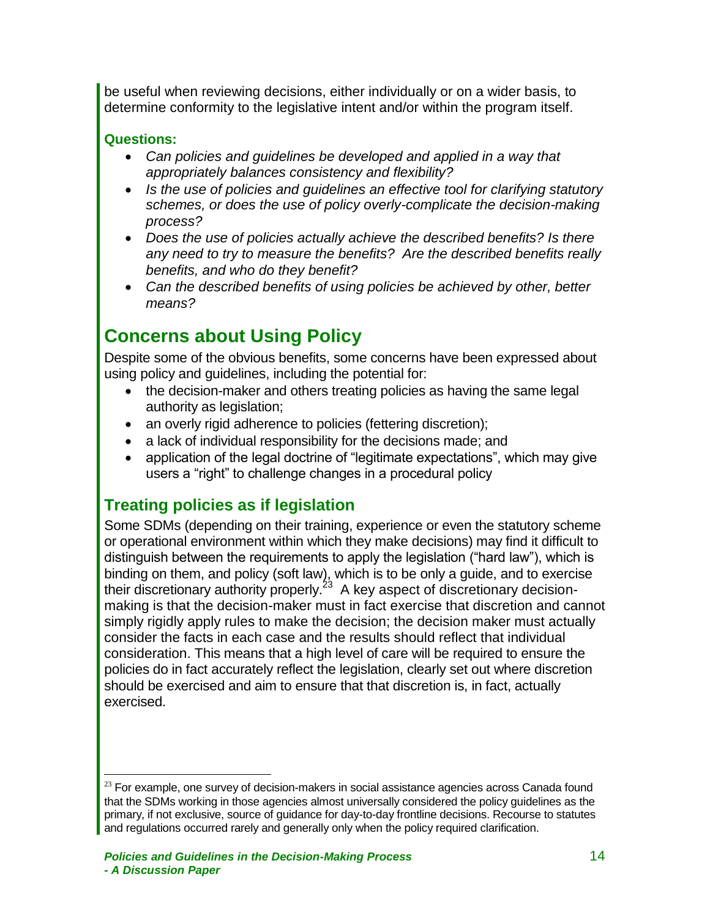be useful when reviewing decisions, either individually or on a wider basis, to determine conformity to the legislative intent and/or within the program itself.

#### **Questions:**

 $\overline{a}$ 

- *Can policies and guidelines be developed and applied in a way that appropriately balances consistency and flexibility?*
- *Is the use of policies and guidelines an effective tool for clarifying statutory schemes, or does the use of policy overly-complicate the decision-making process?*
- *Does the use of policies actually achieve the described benefits? Is there any need to try to measure the benefits? Are the described benefits really benefits, and who do they benefit?*
- *Can the described benefits of using policies be achieved by other, better means?*

# <span id="page-15-0"></span>**Concerns about Using Policy**

Despite some of the obvious benefits, some concerns have been expressed about using policy and guidelines, including the potential for:

- the decision-maker and others treating policies as having the same legal authority as legislation;
- an overly rigid adherence to policies (fettering discretion);
- a lack of individual responsibility for the decisions made; and
- application of the legal doctrine of "legitimate expectations", which may give users a "right" to challenge changes in a procedural policy

### <span id="page-15-1"></span>**Treating policies as if legislation**

Some SDMs (depending on their training, experience or even the statutory scheme or operational environment within which they make decisions) may find it difficult to distinguish between the requirements to apply the legislation ("hard law"), which is binding on them, and policy (soft law), which is to be only a guide, and to exercise their discretionary authority properly.<sup>23</sup> A key aspect of discretionary decisionmaking is that the decision-maker must in fact exercise that discretion and cannot simply rigidly apply rules to make the decision; the decision maker must actually consider the facts in each case and the results should reflect that individual consideration. This means that a high level of care will be required to ensure the policies do in fact accurately reflect the legislation, clearly set out where discretion should be exercised and aim to ensure that that discretion is, in fact, actually exercised.

 $23$  For example, one survey of decision-makers in social assistance agencies across Canada found that the SDMs working in those agencies almost universally considered the policy guidelines as the primary, if not exclusive, source of guidance for day-to-day frontline decisions. Recourse to statutes and regulations occurred rarely and generally only when the policy required clarification.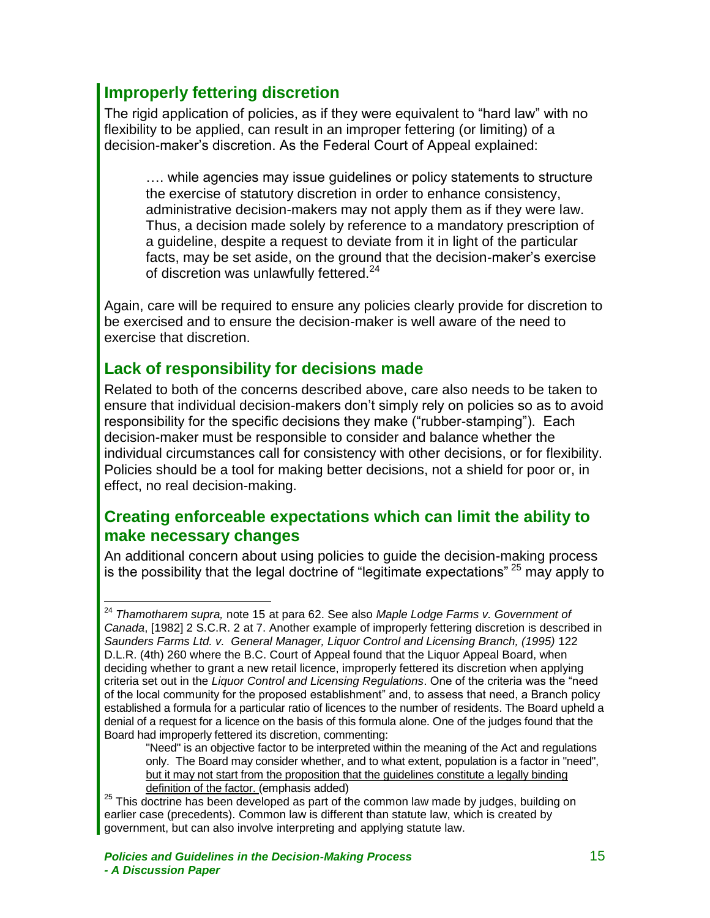### **Improperly fettering discretion**

<span id="page-16-0"></span>The rigid application of policies, as if they were equivalent to "hard law" with no flexibility to be applied, can result in an improper fettering (or limiting) of a decision-maker's discretion. As the Federal Court of Appeal explained:

…. while agencies may issue guidelines or policy statements to structure the exercise of statutory discretion in order to enhance consistency, administrative decision-makers may not apply them as if they were law. Thus, a decision made solely by reference to a mandatory prescription of a guideline, despite a request to deviate from it in light of the particular facts, may be set aside, on the ground that the decision-maker's exercise of discretion was unlawfully fettered.<sup>24</sup>

Again, care will be required to ensure any policies clearly provide for discretion to be exercised and to ensure the decision-maker is well aware of the need to exercise that discretion.

### <span id="page-16-1"></span>**Lack of responsibility for decisions made**

Related to both of the concerns described above, care also needs to be taken to ensure that individual decision-makers don't simply rely on policies so as to avoid responsibility for the specific decisions they make ("rubber-stamping"). Each decision-maker must be responsible to consider and balance whether the individual circumstances call for consistency with other decisions, or for flexibility. Policies should be a tool for making better decisions, not a shield for poor or, in effect, no real decision-making.

#### <span id="page-16-2"></span>**Creating enforceable expectations which can limit the ability to make necessary changes**

An additional concern about using policies to guide the decision-making process is the possibility that the legal doctrine of "legitimate expectations"  $25$  may apply to

 $\overline{a}$ <sup>24</sup> *Thamotharem supra,* note 15 at para 62. See also *Maple Lodge Farms v. Government of Canada*, [1982] 2 S.C.R. 2 at 7. Another example of improperly fettering discretion is described in Saunders Farms Ltd. v. General Manager, Liquor Control and Licensing Branch, (1995) 122 D.L.R. (4th) 260 where the B.C. Court of Appeal found that the Liquor Appeal Board, when deciding whether to grant a new retail licence, improperly fettered its discretion when applying criteria set out in the *Liquor Control and Licensing Regulations*. One of the criteria was the "need of the local community for the proposed establishment" and, to assess that need, a Branch policy established a formula for a particular ratio of licences to the number of residents. The Board upheld a denial of a request for a licence on the basis of this formula alone. One of the judges found that the Board had improperly fettered its discretion, commenting:

<sup>&</sup>quot;Need" is an objective factor to be interpreted within the meaning of the Act and regulations only. The Board may consider whether, and to what extent, population is a factor in "need", but it may not start from the proposition that the guidelines constitute a legally binding definition of the factor. (emphasis added)

<sup>&</sup>lt;sup>25</sup> This doctrine has been developed as part of the common law made by judges, building on earlier case (precedents). Common law is different than statute law, which is created by government, but can also involve interpreting and applying statute law.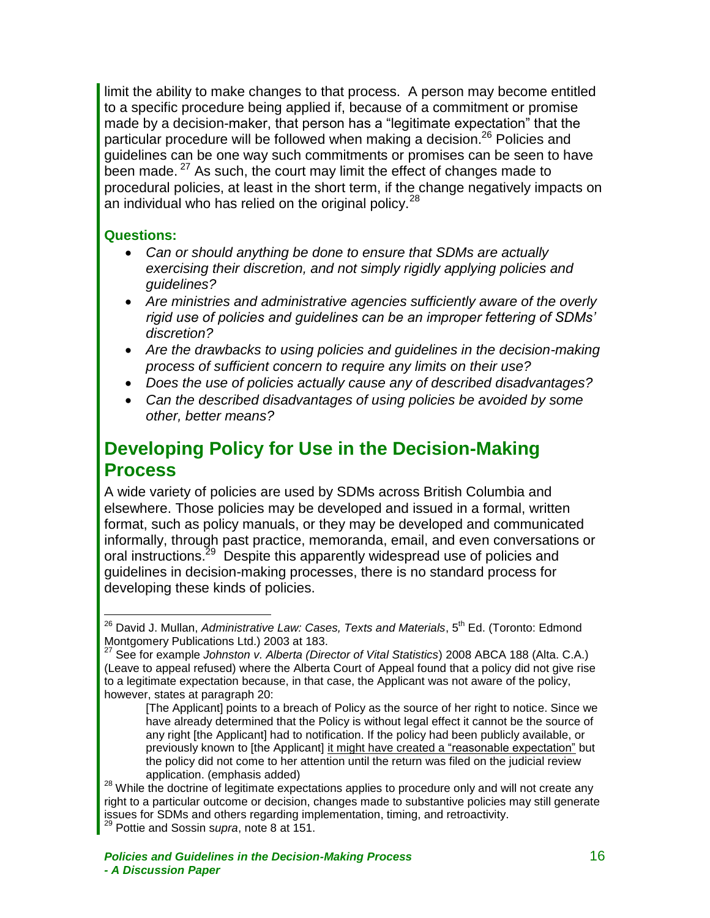limit the ability to make changes to that process. A person may become entitled to a specific procedure being applied if, because of a commitment or promise made by a decision-maker, that person has a "legitimate expectation" that the particular procedure will be followed when making a decision.<sup>26</sup> Policies and guidelines can be one way such commitments or promises can be seen to have been made. <sup>27</sup> As such, the court may limit the effect of changes made to procedural policies, at least in the short term, if the change negatively impacts on an individual who has relied on the original policy.<sup>28</sup>

#### **Questions:**

 $\overline{a}$ 

- *Can or should anything be done to ensure that SDMs are actually exercising their discretion, and not simply rigidly applying policies and guidelines?*
- *Are ministries and administrative agencies sufficiently aware of the overly rigid use of policies and guidelines can be an improper fettering of SDMs' discretion?*
- *Are the drawbacks to using policies and guidelines in the decision-making process of sufficient concern to require any limits on their use?*
- *Does the use of policies actually cause any of described disadvantages?*
- *Can the described disadvantages of using policies be avoided by some other, better means?*

## <span id="page-17-0"></span>**Developing Policy for Use in the Decision-Making Process**

A wide variety of policies are used by SDMs across British Columbia and elsewhere. Those policies may be developed and issued in a formal, written format, such as policy manuals, or they may be developed and communicated informally, through past practice, memoranda, email, and even conversations or oral instructions.<sup>29</sup> Despite this apparently widespread use of policies and guidelines in decision-making processes, there is no standard process for developing these kinds of policies.

<sup>&</sup>lt;sup>26</sup> David J. Mullan, *Administrative Law: Cases, Texts and Materials*, 5<sup>th</sup> Ed. (Toronto: Edmond Montgomery Publications Ltd.) 2003 at 183.

<sup>27</sup> See for example *Johnston v. Alberta (Director of Vital Statistics*) 2008 ABCA 188 (Alta. C.A.) (Leave to appeal refused) where the Alberta Court of Appeal found that a policy did not give rise to a legitimate expectation because, in that case, the Applicant was not aware of the policy, however, states at paragraph 20:

<sup>[</sup>The Applicant] points to a breach of Policy as the source of her right to notice. Since we have already determined that the Policy is without legal effect it cannot be the source of any right [the Applicant] had to notification. If the policy had been publicly available, or previously known to [the Applicant] it might have created a "reasonable expectation" but the policy did not come to her attention until the return was filed on the judicial review application. (emphasis added)

<sup>&</sup>lt;sup>28</sup> While the doctrine of legitimate expectations applies to procedure only and will not create any right to a particular outcome or decision, changes made to substantive policies may still generate issues for SDMs and others regarding implementation, timing, and retroactivity. <sup>29</sup> Pottie and Sossin s*upra*, note 8 at 151.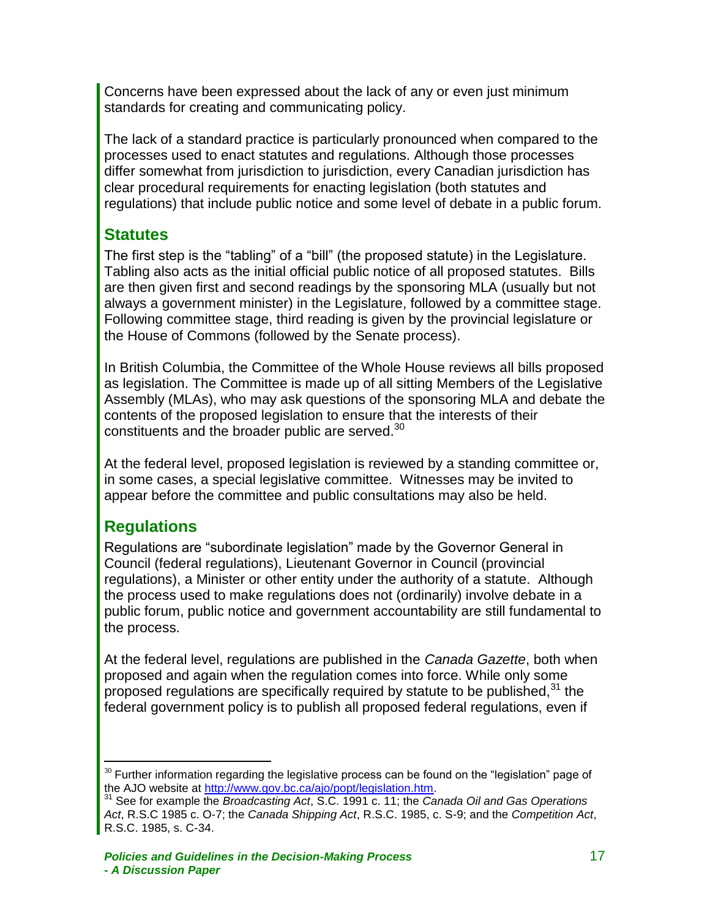Concerns have been expressed about the lack of any or even just minimum standards for creating and communicating policy.

The lack of a standard practice is particularly pronounced when compared to the processes used to enact statutes and regulations. Although those processes differ somewhat from jurisdiction to jurisdiction, every Canadian jurisdiction has clear procedural requirements for enacting legislation (both statutes and regulations) that include public notice and some level of debate in a public forum.

### <span id="page-18-0"></span>**Statutes**

The first step is the "tabling" of a "bill" (the proposed statute) in the Legislature. Tabling also acts as the initial official public notice of all proposed statutes. Bills are then given first and second readings by the sponsoring MLA (usually but not always a government minister) in the Legislature, followed by a committee stage. Following committee stage, third reading is given by the provincial legislature or the House of Commons (followed by the Senate process).

In British Columbia, the Committee of the Whole House reviews all bills proposed as legislation. The Committee is made up of all sitting Members of the Legislative Assembly (MLAs), who may ask questions of the sponsoring MLA and debate the contents of the proposed legislation to ensure that the interests of their constituents and the broader public are served.<sup>30</sup>

At the federal level, proposed legislation is reviewed by a standing committee or, in some cases, a special legislative committee. Witnesses may be invited to appear before the committee and public consultations may also be held.

### <span id="page-18-1"></span>**Regulations**

Regulations are "subordinate legislation" made by the Governor General in Council (federal regulations), Lieutenant Governor in Council (provincial regulations), a Minister or other entity under the authority of a statute. Although the process used to make regulations does not (ordinarily) involve debate in a public forum, public notice and government accountability are still fundamental to the process.

At the federal level, regulations are published in the *Canada Gazette*, both when proposed and again when the regulation comes into force. While only some proposed regulations are specifically required by statute to be published,  $31$  the federal government policy is to publish all proposed federal regulations, even if

 $\overline{a}$  $30$  Further information regarding the legislative process can be found on the "legislation" page of the AJO website at [http://www.gov.bc.ca/ajo/popt/legislation.htm.](http://www.gov.bc.ca/ajo/popt/legislation.htm)

<sup>31</sup> See for example the *Broadcasting Act*, S.C. 1991 c. 11; the *Canada Oil and Gas Operations Act*, R.S.C 1985 c. O-7; the *Canada Shipping Act*, R.S.C. 1985, c. S-9; and the *Competition Act*, R.S.C. 1985, s. C-34.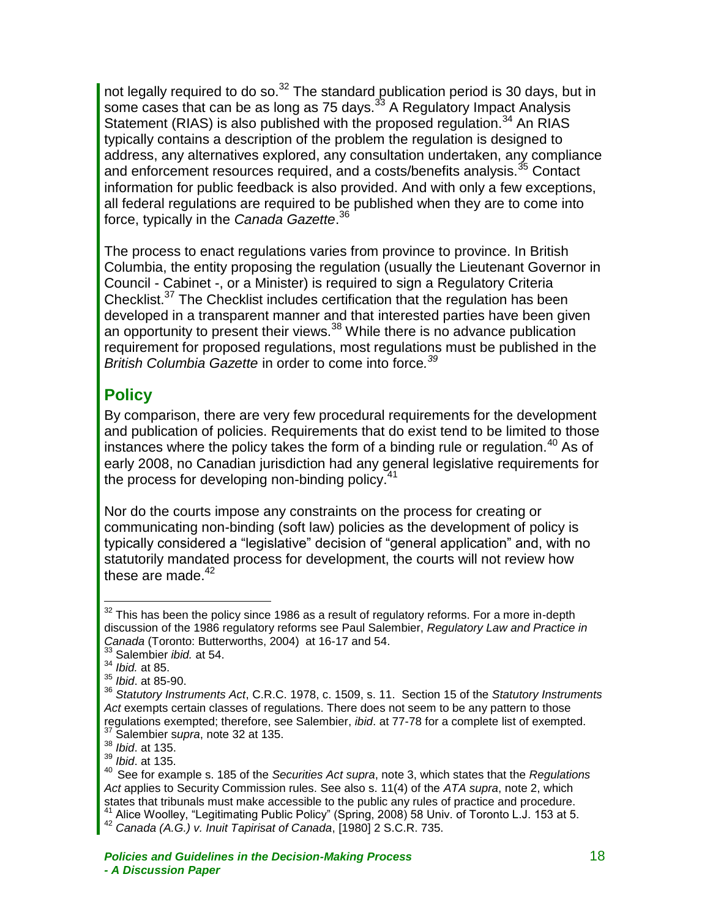not legally required to do so.<sup>32</sup> The standard publication period is 30 days, but in some cases that can be as long as 75 days. $3<sup>3</sup>$  A Regulatory Impact Analysis Statement (RIAS) is also published with the proposed regulation.<sup>34</sup> An RIAS typically contains a description of the problem the regulation is designed to address, any alternatives explored, any consultation undertaken, any compliance and enforcement resources required, and a costs/benefits analysis.<sup>35</sup> Contact information for public feedback is also provided. And with only a few exceptions, all federal regulations are required to be published when they are to come into force, typically in the *Canada Gazette*. 36

The process to enact regulations varies from province to province. In British Columbia, the entity proposing the regulation (usually the Lieutenant Governor in Council - Cabinet -, or a Minister) is required to sign a Regulatory Criteria Checklist.<sup>37</sup> The Checklist includes certification that the regulation has been developed in a transparent manner and that interested parties have been given an opportunity to present their views.  $38$  While there is no advance publication requirement for proposed regulations, most regulations must be published in the *British Columbia Gazette* in order to come into force*. 39*

### <span id="page-19-0"></span>**Policy**

By comparison, there are very few procedural requirements for the development and publication of policies. Requirements that do exist tend to be limited to those instances where the policy takes the form of a binding rule or regulation.<sup>40</sup> As of early 2008, no Canadian jurisdiction had any general legislative requirements for the process for developing non-binding policy.<sup>41</sup>

Nor do the courts impose any constraints on the process for creating or communicating non-binding (soft law) policies as the development of policy is typically considered a "legislative" decision of "general application" and, with no statutorily mandated process for development, the courts will not review how these are made. $42$ 

 $32$  This has been the policy since 1986 as a result of regulatory reforms. For a more in-depth discussion of the 1986 regulatory reforms see Paul Salembier, *Regulatory Law and Practice in Canada* (Toronto: Butterworths, 2004) at 16-17 and 54.

<sup>33</sup> Salembier *ibid.* at 54.

<sup>34</sup> *Ibid.* at 85.

<sup>35</sup> *Ibid*. at 85-90.

<sup>36</sup> *Statutory Instruments Act*, C.R.C. 1978, c. 1509, s. 11. Section 15 of the *Statutory Instruments*  Act exempts certain classes of regulations. There does not seem to be any pattern to those regulations exempted; therefore, see Salembier, *ibid*. at 77-78 for a complete list of exempted. <sup>37</sup> Salembier s*upra*, note 32 at 135.

<sup>38</sup> *Ibid*. at 135.

<sup>39</sup> *Ibid*. at 135.

<sup>40</sup> See for example s. 185 of the *Securities Act supra*, note 3, which states that the *Regulations Act* applies to Security Commission rules. See also s. 11(4) of the *ATA supra*, note 2, which states that tribunals must make accessible to the public any rules of practice and procedure.  $\frac{1}{2}$  Alice Woolley, "Legitimating Public Policy" (Spring, 2008) 58 Univ. of Toronto L.J. 153 at 5.

<sup>42</sup> *Canada (A.G.) v. Inuit Tapirisat of Canada*, [1980] 2 S.C.R. 735.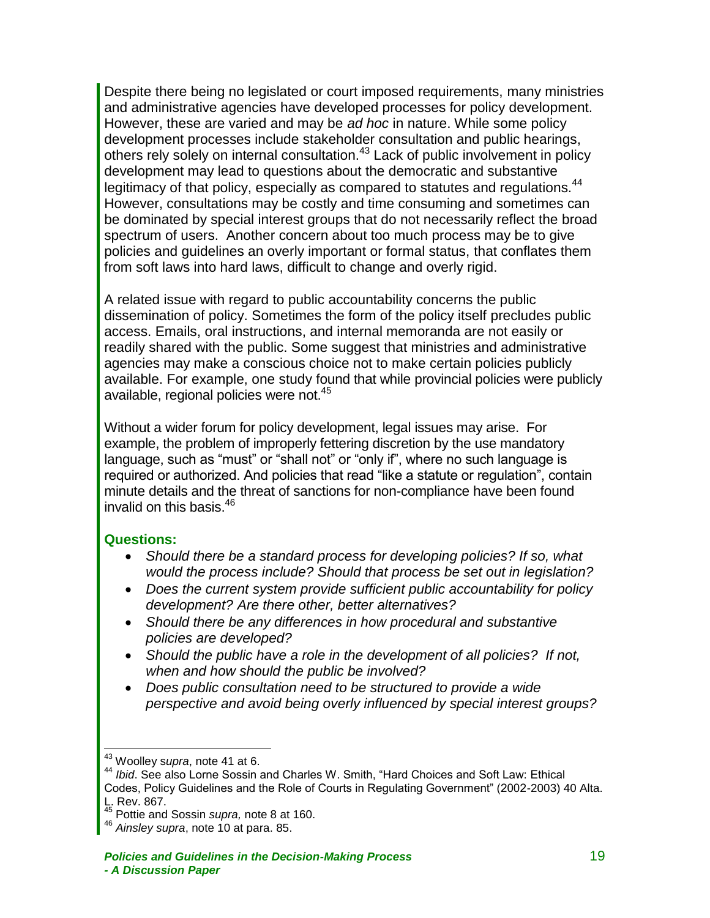Despite there being no legislated or court imposed requirements, many ministries and administrative agencies have developed processes for policy development. However, these are varied and may be *ad hoc* in nature. While some policy development processes include stakeholder consultation and public hearings, others rely solely on internal consultation.<sup>43</sup> Lack of public involvement in policy development may lead to questions about the democratic and substantive legitimacy of that policy, especially as compared to statutes and regulations.<sup>44</sup> However, consultations may be costly and time consuming and sometimes can be dominated by special interest groups that do not necessarily reflect the broad spectrum of users. Another concern about too much process may be to give policies and guidelines an overly important or formal status, that conflates them from soft laws into hard laws, difficult to change and overly rigid.

A related issue with regard to public accountability concerns the public dissemination of policy. Sometimes the form of the policy itself precludes public access. Emails, oral instructions, and internal memoranda are not easily or readily shared with the public. Some suggest that ministries and administrative agencies may make a conscious choice not to make certain policies publicly available. For example, one study found that while provincial policies were publicly available, regional policies were not.<sup>45</sup>

Without a wider forum for policy development, legal issues may arise. For example, the problem of improperly fettering discretion by the use mandatory language, such as "must" or "shall not" or "only if", where no such language is required or authorized. And policies that read "like a statute or regulation", contain minute details and the threat of sanctions for non-compliance have been found invalid on this basis.<sup>46</sup>

#### **Questions:**

- *Should there be a standard process for developing policies? If so, what would the process include? Should that process be set out in legislation?*
- *Does the current system provide sufficient public accountability for policy development? Are there other, better alternatives?*
- *Should there be any differences in how procedural and substantive policies are developed?*
- *Should the public have a role in the development of all policies? If not, when and how should the public be involved?*
- *Does public consultation need to be structured to provide a wide perspective and avoid being overly influenced by special interest groups?*

<sup>43</sup> Woolley s*upra*, note 41 at 6.

<sup>44</sup> *Ibid*. See also Lorne Sossin and Charles W. Smith, "Hard Choices and Soft Law: Ethical Codes, Policy Guidelines and the Role of Courts in Regulating Government" (2002-2003) 40 Alta. L. Rev. 867.

<sup>45</sup> Pottie and Sossin *supra,* note 8 at 160.

<sup>46</sup> *Ainsley supra*, note 10 at para. 85.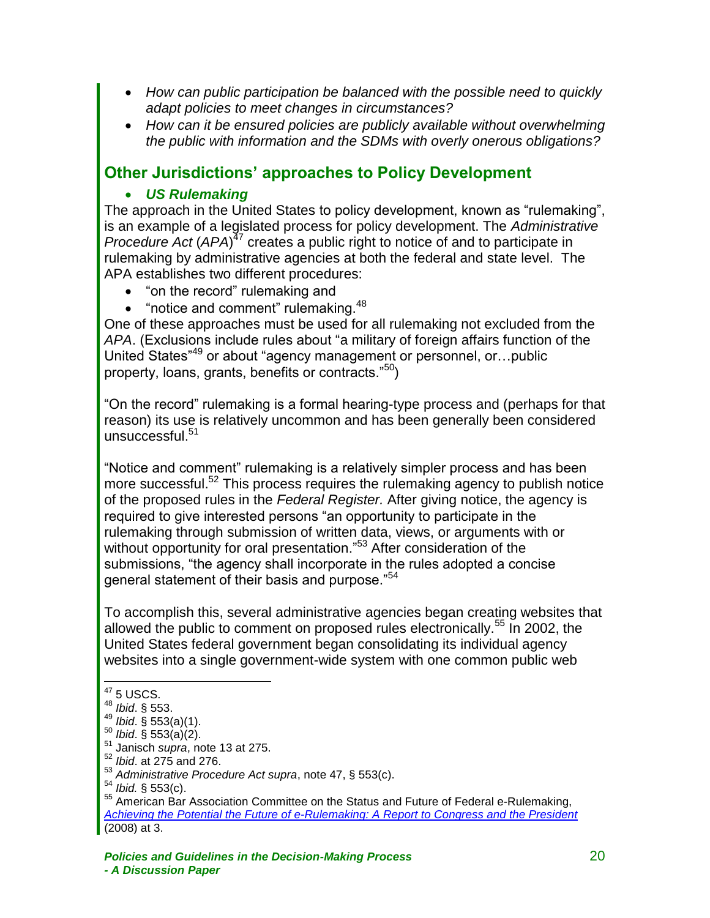- *How can public participation be balanced with the possible need to quickly adapt policies to meet changes in circumstances?*
- *How can it be ensured policies are publicly available without overwhelming the public with information and the SDMs with overly onerous obligations?*

### <span id="page-21-0"></span>**Other Jurisdictions' approaches to Policy Development**

#### *US Rulemaking*

The approach in the United States to policy development, known as "rulemaking", is an example of a legislated process for policy development. The *Administrative Procedure Act* (*APA*)<sup> $^{77}$ </sup> creates a public right to notice of and to participate in rulemaking by administrative agencies at both the federal and state level. The APA establishes two different procedures:

- "on the record" rulemaking and
- $\bullet$  "notice and comment" rulemaking.  $48$

One of these approaches must be used for all rulemaking not excluded from the *APA*. (Exclusions include rules about "a military of foreign affairs function of the United States"<sup>49</sup> or about "agency management or personnel, or…public property, loans, grants, benefits or contracts."<sup>50</sup>)

"On the record" rulemaking is a formal hearing-type process and (perhaps for that reason) its use is relatively uncommon and has been generally been considered unsuccessful.<sup>51</sup>

"Notice and comment" rulemaking is a relatively simpler process and has been more successful.<sup>52</sup> This process requires the rulemaking agency to publish notice of the proposed rules in the *Federal Register.* After giving notice, the agency is required to give interested persons "an opportunity to participate in the rulemaking through submission of written data, views, or arguments with or without opportunity for oral presentation."<sup>53</sup> After consideration of the submissions, "the agency shall incorporate in the rules adopted a concise general statement of their basis and purpose."<sup>54</sup>

To accomplish this, several administrative agencies began creating websites that allowed the public to comment on proposed rules electronically.<sup>55</sup> In 2002, the United States federal government began consolidating its individual agency websites into a single government-wide system with one common public web

 $47$  5 USCS.

<sup>48</sup> *Ibid*. § 553.

<sup>49</sup> *Ibid*. § 553(a)(1).

<sup>50</sup> *Ibid*. § 553(a)(2).

<sup>51</sup> Janisch *supra*, note 13 at 275.

<sup>52</sup> *Ibid*. at 275 and 276.

<sup>53</sup> *Administrative Procedure Act supra*, note 47, § 553(c).

<sup>54</sup> *Ibid.* § 553(c).

<sup>55</sup> American Bar Association Committee on the Status and Future of Federal e-Rulemaking, *[Achieving the Potential the Future of e-Rulemaking: A Report to Congress and the President](http://www.abanet.org/adminlaw/E-Rulemaking%20Report%20Web%20Version.pdf)* (2008) at 3.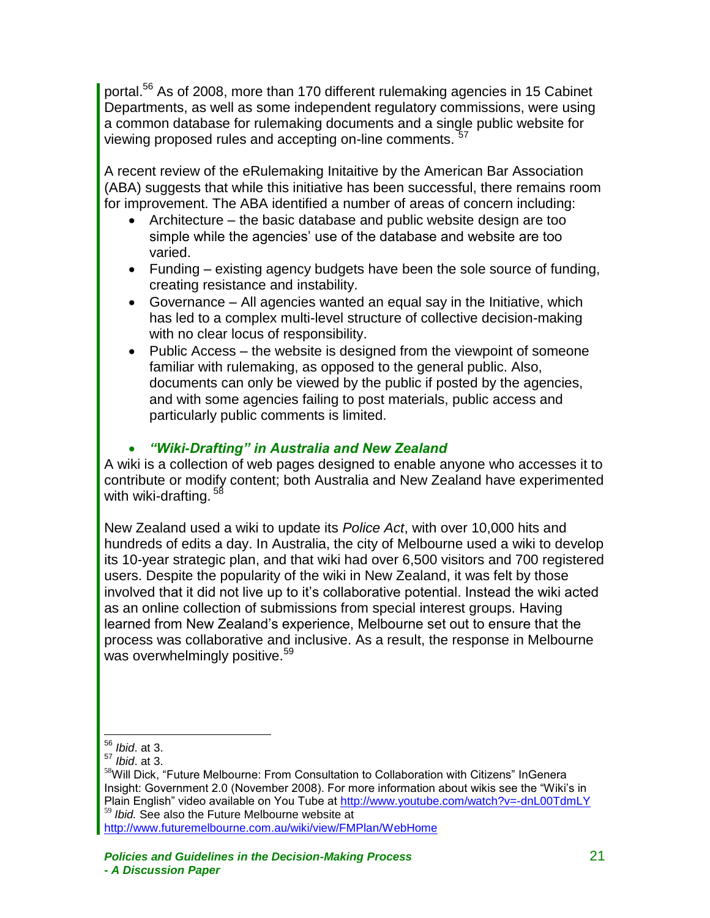portal.<sup>56</sup> As of 2008, more than 170 different rulemaking agencies in 15 Cabinet Departments, as well as some independent regulatory commissions, were using a common database for rulemaking documents and a single public website for viewing proposed rules and accepting on-line comments.

A recent review of the eRulemaking Initaitive by the American Bar Association (ABA) suggests that while this initiative has been successful, there remains room for improvement. The ABA identified a number of areas of concern including:

- Architecture the basic database and public website design are too simple while the agencies' use of the database and website are too varied.
- Funding existing agency budgets have been the sole source of funding, creating resistance and instability.
- Governance All agencies wanted an equal say in the Initiative, which has led to a complex multi-level structure of collective decision-making with no clear locus of responsibility.
- Public Access the website is designed from the viewpoint of someone familiar with rulemaking, as opposed to the general public. Also, documents can only be viewed by the public if posted by the agencies, and with some agencies failing to post materials, public access and particularly public comments is limited.

#### *"Wiki-Drafting" in Australia and New Zealand*

A wiki is a collection of web pages designed to enable anyone who accesses it to contribute or modify content; both Australia and New Zealand have experimented with wiki-drafting.<sup>58</sup>

New Zealand used a wiki to update its *Police Act*, with over 10,000 hits and hundreds of edits a day. In Australia, the city of Melbourne used a wiki to develop its 10-year strategic plan, and that wiki had over 6,500 visitors and 700 registered users. Despite the popularity of the wiki in New Zealand, it was felt by those involved that it did not live up to it's collaborative potential. Instead the wiki acted as an online collection of submissions from special interest groups. Having learned from New Zealand's experience, Melbourne set out to ensure that the process was collaborative and inclusive. As a result, the response in Melbourne was overwhelmingly positive.<sup>59</sup>

 $\overline{a}$ <sup>56</sup> *Ibid*. at 3.

<sup>57</sup> *Ibid*. at 3.

<sup>58</sup>Will Dick, "Future Melbourne: From Consultation to Collaboration with Citizens" InGenera Insight: Government 2.0 (November 2008). For more information about wikis see the "Wiki's in Plain English" video available on You Tube at<http://www.youtube.com/watch?v=-dnL00TdmLY> <sup>59</sup> *Ibid.* See also the Future Melbourne website at

<http://www.futuremelbourne.com.au/wiki/view/FMPlan/WebHome>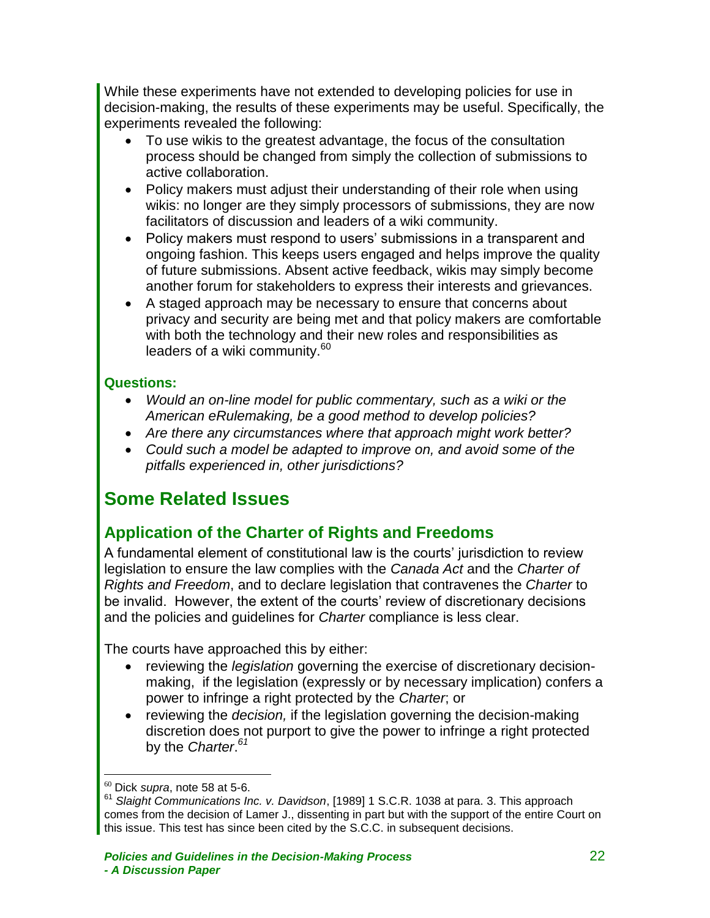While these experiments have not extended to developing policies for use in decision-making, the results of these experiments may be useful. Specifically, the experiments revealed the following:

- To use wikis to the greatest advantage, the focus of the consultation process should be changed from simply the collection of submissions to active collaboration.
- Policy makers must adjust their understanding of their role when using wikis: no longer are they simply processors of submissions, they are now facilitators of discussion and leaders of a wiki community.
- Policy makers must respond to users' submissions in a transparent and ongoing fashion. This keeps users engaged and helps improve the quality of future submissions. Absent active feedback, wikis may simply become another forum for stakeholders to express their interests and grievances.
- A staged approach may be necessary to ensure that concerns about privacy and security are being met and that policy makers are comfortable with both the technology and their new roles and responsibilities as leaders of a wiki community.<sup>60</sup>

#### **Questions:**

- *Would an on-line model for public commentary, such as a wiki or the American eRulemaking, be a good method to develop policies?*
- *Are there any circumstances where that approach might work better?*
- *Could such a model be adapted to improve on, and avoid some of the pitfalls experienced in, other jurisdictions?*

# <span id="page-23-0"></span>**Some Related Issues**

### <span id="page-23-1"></span>**Application of the Charter of Rights and Freedoms**

A fundamental element of constitutional law is the courts' jurisdiction to review legislation to ensure the law complies with the *Canada Act* and the *Charter of Rights and Freedom*, and to declare legislation that contravenes the *Charter* to be invalid. However, the extent of the courts' review of discretionary decisions and the policies and guidelines for *Charter* compliance is less clear.

The courts have approached this by either:

- reviewing the *legislation* governing the exercise of discretionary decisionmaking, if the legislation (expressly or by necessary implication) confers a power to infringe a right protected by the *Charter*; or
- reviewing the *decision,* if the legislation governing the decision-making discretion does not purport to give the power to infringe a right protected by the *Charter*. *61*

<sup>60</sup> Dick *supra*, note 58 at 5-6.

<sup>61</sup> *Slaight Communications Inc. v. Davidson*, [1989] 1 S.C.R. 1038 at para. 3. This approach comes from the decision of Lamer J., dissenting in part but with the support of the entire Court on this issue. This test has since been cited by the S.C.C. in subsequent decisions.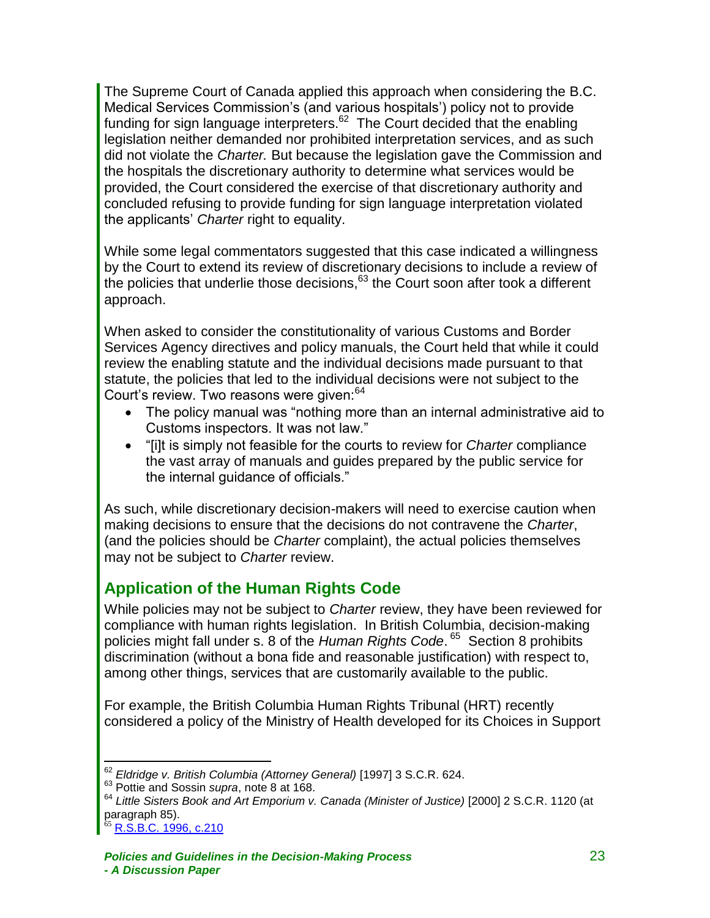The Supreme Court of Canada applied this approach when considering the B.C. Medical Services Commission's (and various hospitals') policy not to provide funding for sign language interpreters. $62$  The Court decided that the enabling legislation neither demanded nor prohibited interpretation services, and as such did not violate the *Charter.* But because the legislation gave the Commission and the hospitals the discretionary authority to determine what services would be provided, the Court considered the exercise of that discretionary authority and concluded refusing to provide funding for sign language interpretation violated the applicants' *Charter* right to equality.

While some legal commentators suggested that this case indicated a willingness by the Court to extend its review of discretionary decisions to include a review of the policies that underlie those decisions, 63 the Court soon after took a different approach.

When asked to consider the constitutionality of various Customs and Border Services Agency directives and policy manuals, the Court held that while it could review the enabling statute and the individual decisions made pursuant to that statute, the policies that led to the individual decisions were not subject to the Court's review. Two reasons were given:<sup>64</sup>

- The policy manual was "nothing more than an internal administrative aid to Customs inspectors. It was not law."
- "[i]t is simply not feasible for the courts to review for *Charter* compliance the vast array of manuals and guides prepared by the public service for the internal guidance of officials."

As such, while discretionary decision-makers will need to exercise caution when making decisions to ensure that the decisions do not contravene the *Charter*, (and the policies should be *Charter* complaint), the actual policies themselves may not be subject to *Charter* review.

### <span id="page-24-0"></span>**Application of the Human Rights Code**

While policies may not be subject to *Charter* review, they have been reviewed for compliance with human rights legislation. In British Columbia, decision-making policies might fall under s. 8 of the *Human Rights Code*. 65 Section 8 prohibits discrimination (without a bona fide and reasonable justification) with respect to, among other things, services that are customarily available to the public.

For example, the British Columbia Human Rights Tribunal (HRT) recently considered a policy of the Ministry of Health developed for its Choices in Support

<sup>62</sup> *Eldridge v. British Columbia (Attorney General)* [1997] 3 S.C.R. 624.

<sup>&</sup>lt;sup>63</sup> Pottie and Sossin *supra*, note 8 at 168.

<sup>64</sup> *Little Sisters Book and Art Emporium v. Canada (Minister of Justice)* [2000] 2 S.C.R. 1120 (at paragraph 85).

<sup>&</sup>lt;sup>65</sup> R.S<u>.B.C. 1996, c.210</u>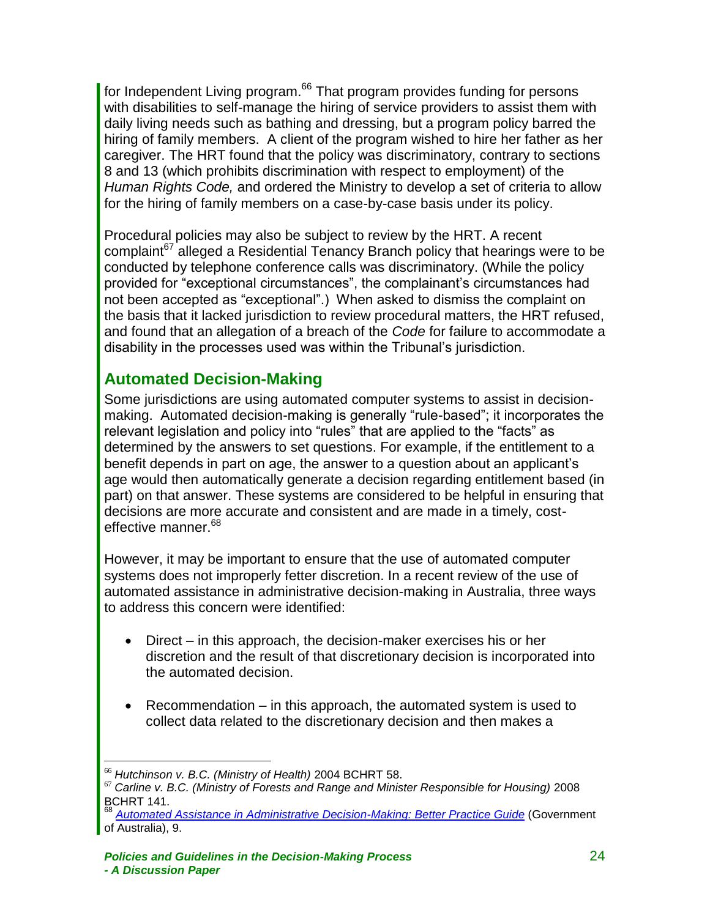for Independent Living program.<sup>66</sup> That program provides funding for persons with disabilities to self-manage the hiring of service providers to assist them with daily living needs such as bathing and dressing, but a program policy barred the hiring of family members. A client of the program wished to hire her father as her caregiver. The HRT found that the policy was discriminatory, contrary to sections 8 and 13 (which prohibits discrimination with respect to employment) of the *Human Rights Code,* and ordered the Ministry to develop a set of criteria to allow for the hiring of family members on a case-by-case basis under its policy.

Procedural policies may also be subject to review by the HRT. A recent complaint<sup>67</sup> alleged a Residential Tenancy Branch policy that hearings were to be conducted by telephone conference calls was discriminatory. (While the policy provided for "exceptional circumstances", the complainant's circumstances had not been accepted as "exceptional".) When asked to dismiss the complaint on the basis that it lacked jurisdiction to review procedural matters, the HRT refused, and found that an allegation of a breach of the *Code* for failure to accommodate a disability in the processes used was within the Tribunal's jurisdiction.

### <span id="page-25-0"></span>**Automated Decision-Making**

Some jurisdictions are using automated computer systems to assist in decisionmaking. Automated decision-making is generally "rule-based"; it incorporates the relevant legislation and policy into "rules" that are applied to the "facts" as determined by the answers to set questions. For example, if the entitlement to a benefit depends in part on age, the answer to a question about an applicant's age would then automatically generate a decision regarding entitlement based (in part) on that answer. These systems are considered to be helpful in ensuring that decisions are more accurate and consistent and are made in a timely, costeffective manner.<sup>68</sup>

However, it may be important to ensure that the use of automated computer systems does not improperly fetter discretion. In a recent review of the use of automated assistance in administrative decision-making in Australia, three ways to address this concern were identified:

- Direct in this approach, the decision-maker exercises his or her discretion and the result of that discretionary decision is incorporated into the automated decision.
- Recommendation in this approach, the automated system is used to collect data related to the discretionary decision and then makes a

 $\overline{a}$ <sup>66</sup> *Hutchinson v. B.C. (Ministry of Health)* 2004 BCHRT 58.

<sup>67</sup> *Carline v. B.C. (Ministry of Forests and Range and Minister Responsible for Housing)* 2008 BCHRT 141.

<sup>68</sup> *[Automated Assistance in Administrative Decision-Making: Better Practice Guide](http://www.finance.gov.au/publications/aaadm/docs/AAAADM_Better_Practice_Guide.pdf)* (Government of Australia), 9.